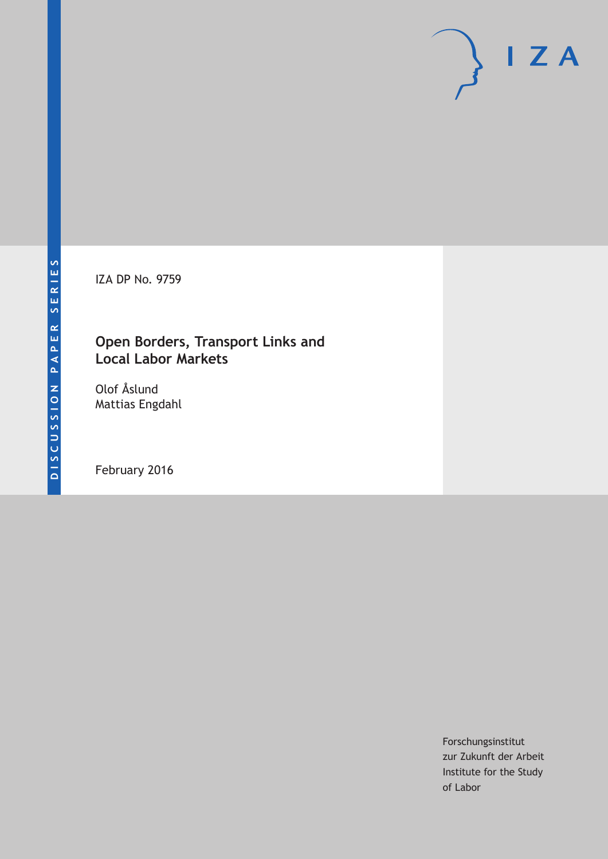IZA DP No. 9759

## **Open Borders, Transport Links and Local Labor Markets**

Olof Åslund Mattias Engdahl

February 2016

Forschungsinstitut zur Zukunft der Arbeit Institute for the Study of Labor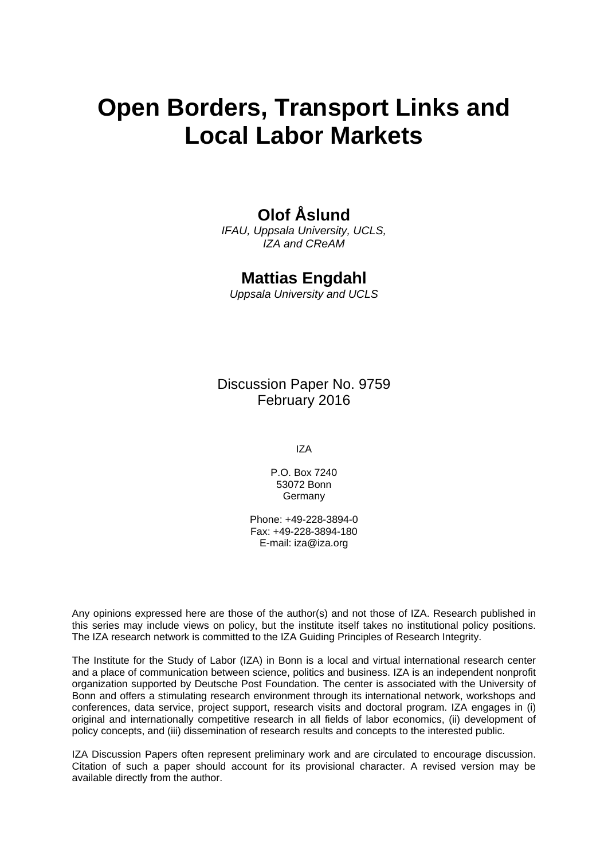# **Open Borders, Transport Links and Local Labor Markets**

## **Olof Åslund**

*IFAU, Uppsala University, UCLS, IZA and CReAM* 

## **Mattias Engdahl**

*Uppsala University and UCLS* 

Discussion Paper No. 9759 February 2016

IZA

P.O. Box 7240 53072 Bonn **Germany** 

Phone: +49-228-3894-0 Fax: +49-228-3894-180 E-mail: iza@iza.org

Any opinions expressed here are those of the author(s) and not those of IZA. Research published in this series may include views on policy, but the institute itself takes no institutional policy positions. The IZA research network is committed to the IZA Guiding Principles of Research Integrity.

The Institute for the Study of Labor (IZA) in Bonn is a local and virtual international research center and a place of communication between science, politics and business. IZA is an independent nonprofit organization supported by Deutsche Post Foundation. The center is associated with the University of Bonn and offers a stimulating research environment through its international network, workshops and conferences, data service, project support, research visits and doctoral program. IZA engages in (i) original and internationally competitive research in all fields of labor economics, (ii) development of policy concepts, and (iii) dissemination of research results and concepts to the interested public.

IZA Discussion Papers often represent preliminary work and are circulated to encourage discussion. Citation of such a paper should account for its provisional character. A revised version may be available directly from the author.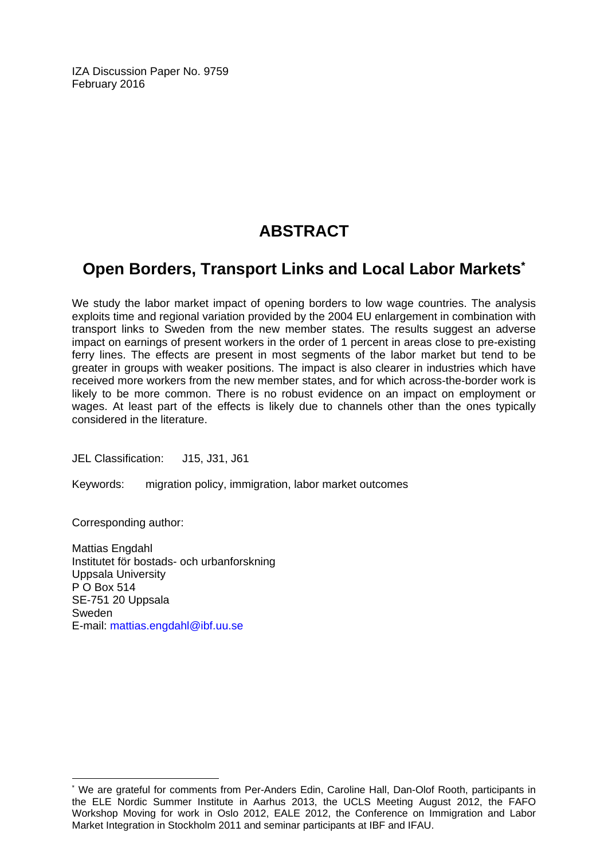IZA Discussion Paper No. 9759 February 2016

## **ABSTRACT**

## **Open Borders, Transport Links and Local Labor Markets\***

We study the labor market impact of opening borders to low wage countries. The analysis exploits time and regional variation provided by the 2004 EU enlargement in combination with transport links to Sweden from the new member states. The results suggest an adverse impact on earnings of present workers in the order of 1 percent in areas close to pre-existing ferry lines. The effects are present in most segments of the labor market but tend to be greater in groups with weaker positions. The impact is also clearer in industries which have received more workers from the new member states, and for which across-the-border work is likely to be more common. There is no robust evidence on an impact on employment or wages. At least part of the effects is likely due to channels other than the ones typically considered in the literature.

JEL Classification: J15, J31, J61

Keywords: migration policy, immigration, labor market outcomes

Corresponding author:

 $\overline{\phantom{a}}$ 

Mattias Engdahl Institutet för bostads- och urbanforskning Uppsala University P O Box 514 SE-751 20 Uppsala Sweden E-mail: mattias.engdahl@ibf.uu.se

<sup>\*</sup> We are grateful for comments from Per-Anders Edin, Caroline Hall, Dan-Olof Rooth, participants in the ELE Nordic Summer Institute in Aarhus 2013, the UCLS Meeting August 2012, the FAFO Workshop Moving for work in Oslo 2012, EALE 2012, the Conference on Immigration and Labor Market Integration in Stockholm 2011 and seminar participants at IBF and IFAU.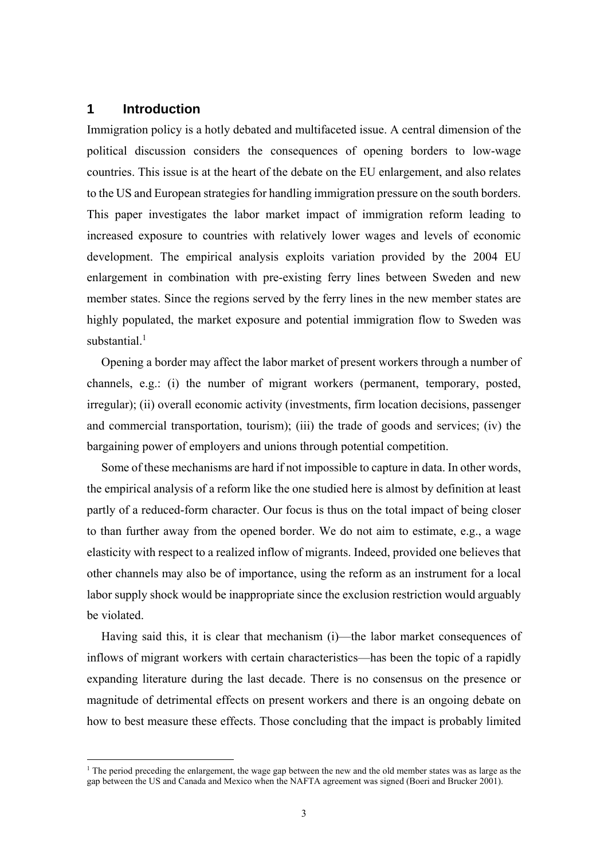### **1 Introduction**

1

Immigration policy is a hotly debated and multifaceted issue. A central dimension of the political discussion considers the consequences of opening borders to low-wage countries. This issue is at the heart of the debate on the EU enlargement, and also relates to the US and European strategies for handling immigration pressure on the south borders. This paper investigates the labor market impact of immigration reform leading to increased exposure to countries with relatively lower wages and levels of economic development. The empirical analysis exploits variation provided by the 2004 EU enlargement in combination with pre-existing ferry lines between Sweden and new member states. Since the regions served by the ferry lines in the new member states are highly populated, the market exposure and potential immigration flow to Sweden was substantial. $1$ 

Opening a border may affect the labor market of present workers through a number of channels, e.g.: (i) the number of migrant workers (permanent, temporary, posted, irregular); (ii) overall economic activity (investments, firm location decisions, passenger and commercial transportation, tourism); (iii) the trade of goods and services; (iv) the bargaining power of employers and unions through potential competition.

Some of these mechanisms are hard if not impossible to capture in data. In other words, the empirical analysis of a reform like the one studied here is almost by definition at least partly of a reduced-form character. Our focus is thus on the total impact of being closer to than further away from the opened border. We do not aim to estimate, e.g., a wage elasticity with respect to a realized inflow of migrants. Indeed, provided one believes that other channels may also be of importance, using the reform as an instrument for a local labor supply shock would be inappropriate since the exclusion restriction would arguably be violated.

Having said this, it is clear that mechanism (i)—the labor market consequences of inflows of migrant workers with certain characteristics—has been the topic of a rapidly expanding literature during the last decade. There is no consensus on the presence or magnitude of detrimental effects on present workers and there is an ongoing debate on how to best measure these effects. Those concluding that the impact is probably limited

<sup>&</sup>lt;sup>1</sup> The period preceding the enlargement, the wage gap between the new and the old member states was as large as the gap between the US and Canada and Mexico when the NAFTA agreement was signed (Boeri and Brucker 2001).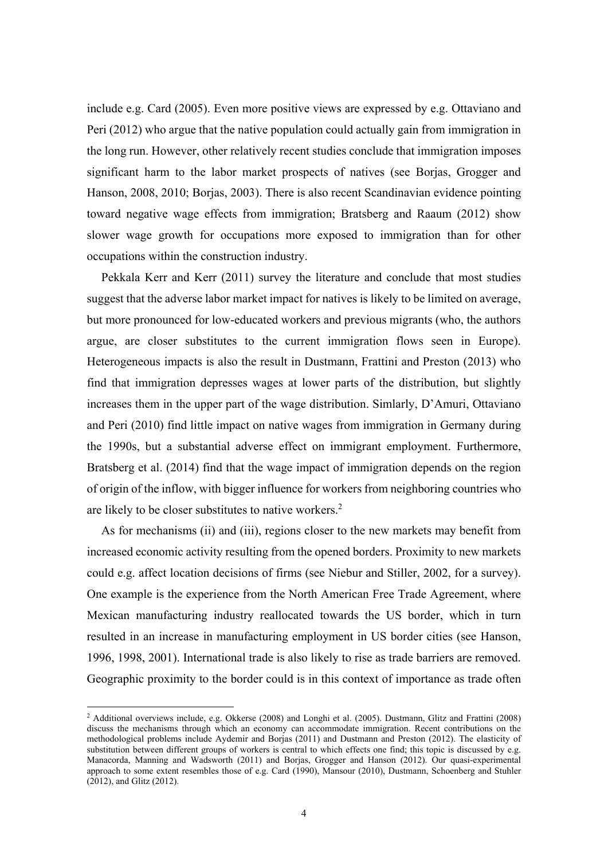include e.g. Card (2005). Even more positive views are expressed by e.g. Ottaviano and Peri (2012) who argue that the native population could actually gain from immigration in the long run. However, other relatively recent studies conclude that immigration imposes significant harm to the labor market prospects of natives (see Borjas, Grogger and Hanson, 2008, 2010; Borjas, 2003). There is also recent Scandinavian evidence pointing toward negative wage effects from immigration; Bratsberg and Raaum (2012) show slower wage growth for occupations more exposed to immigration than for other occupations within the construction industry.

Pekkala Kerr and Kerr (2011) survey the literature and conclude that most studies suggest that the adverse labor market impact for natives is likely to be limited on average, but more pronounced for low-educated workers and previous migrants (who, the authors argue, are closer substitutes to the current immigration flows seen in Europe). Heterogeneous impacts is also the result in Dustmann, Frattini and Preston (2013) who find that immigration depresses wages at lower parts of the distribution, but slightly increases them in the upper part of the wage distribution. Simlarly, D'Amuri, Ottaviano and Peri (2010) find little impact on native wages from immigration in Germany during the 1990s, but a substantial adverse effect on immigrant employment. Furthermore, Bratsberg et al. (2014) find that the wage impact of immigration depends on the region of origin of the inflow, with bigger influence for workers from neighboring countries who are likely to be closer substitutes to native workers. $2$ 

As for mechanisms (ii) and (iii), regions closer to the new markets may benefit from increased economic activity resulting from the opened borders. Proximity to new markets could e.g. affect location decisions of firms (see Niebur and Stiller, 2002, for a survey). One example is the experience from the North American Free Trade Agreement, where Mexican manufacturing industry reallocated towards the US border, which in turn resulted in an increase in manufacturing employment in US border cities (see Hanson, 1996, 1998, 2001). International trade is also likely to rise as trade barriers are removed. Geographic proximity to the border could is in this context of importance as trade often

1

<sup>2</sup> Additional overviews include, e.g. Okkerse (2008) and Longhi et al. (2005). Dustmann, Glitz and Frattini (2008) discuss the mechanisms through which an economy can accommodate immigration. Recent contributions on the methodological problems include Aydemir and Borjas (2011) and Dustmann and Preston (2012). The elasticity of substitution between different groups of workers is central to which effects one find; this topic is discussed by e.g. Manacorda, Manning and Wadsworth (2011) and Borjas, Grogger and Hanson (2012). Our quasi-experimental approach to some extent resembles those of e.g. Card (1990), Mansour (2010), Dustmann, Schoenberg and Stuhler (2012), and Glitz (2012).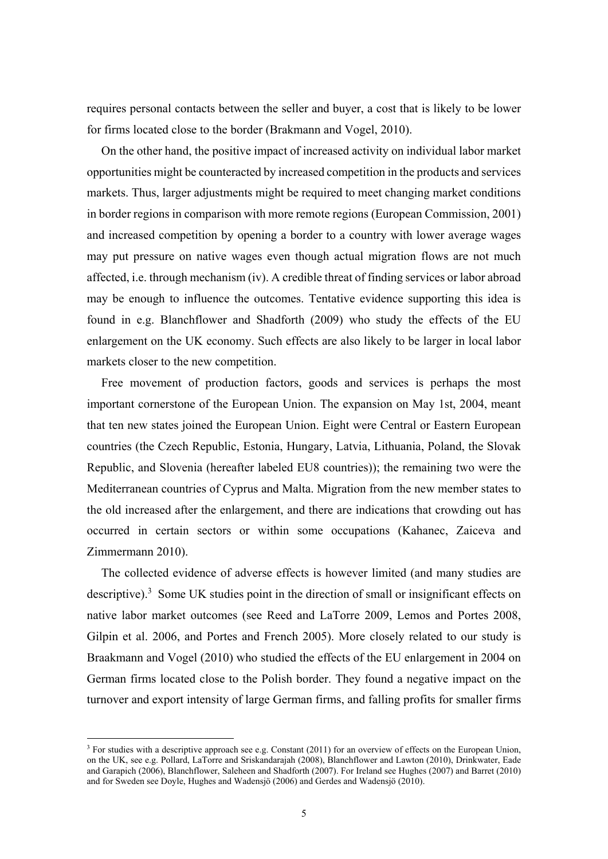requires personal contacts between the seller and buyer, a cost that is likely to be lower for firms located close to the border (Brakmann and Vogel, 2010).

On the other hand, the positive impact of increased activity on individual labor market opportunities might be counteracted by increased competition in the products and services markets. Thus, larger adjustments might be required to meet changing market conditions in border regions in comparison with more remote regions (European Commission, 2001) and increased competition by opening a border to a country with lower average wages may put pressure on native wages even though actual migration flows are not much affected, i.e. through mechanism (iv). A credible threat of finding services or labor abroad may be enough to influence the outcomes. Tentative evidence supporting this idea is found in e.g. Blanchflower and Shadforth (2009) who study the effects of the EU enlargement on the UK economy. Such effects are also likely to be larger in local labor markets closer to the new competition.

Free movement of production factors, goods and services is perhaps the most important cornerstone of the European Union. The expansion on May 1st, 2004, meant that ten new states joined the European Union. Eight were Central or Eastern European countries (the Czech Republic, Estonia, Hungary, Latvia, Lithuania, Poland, the Slovak Republic, and Slovenia (hereafter labeled EU8 countries)); the remaining two were the Mediterranean countries of Cyprus and Malta. Migration from the new member states to the old increased after the enlargement, and there are indications that crowding out has occurred in certain sectors or within some occupations (Kahanec, Zaiceva and Zimmermann 2010).

The collected evidence of adverse effects is however limited (and many studies are descriptive).<sup>3</sup> Some UK studies point in the direction of small or insignificant effects on native labor market outcomes (see Reed and LaTorre 2009, Lemos and Portes 2008, Gilpin et al. 2006, and Portes and French 2005). More closely related to our study is Braakmann and Vogel (2010) who studied the effects of the EU enlargement in 2004 on German firms located close to the Polish border. They found a negative impact on the turnover and export intensity of large German firms, and falling profits for smaller firms

<u>.</u>

 $3$  For studies with a descriptive approach see e.g. Constant (2011) for an overview of effects on the European Union, on the UK, see e.g. Pollard, LaTorre and Sriskandarajah (2008), Blanchflower and Lawton (2010), Drinkwater, Eade and Garapich (2006), Blanchflower, Saleheen and Shadforth (2007). For Ireland see Hughes (2007) and Barret (2010) and for Sweden see Doyle, Hughes and Wadensjö (2006) and Gerdes and Wadensjö (2010).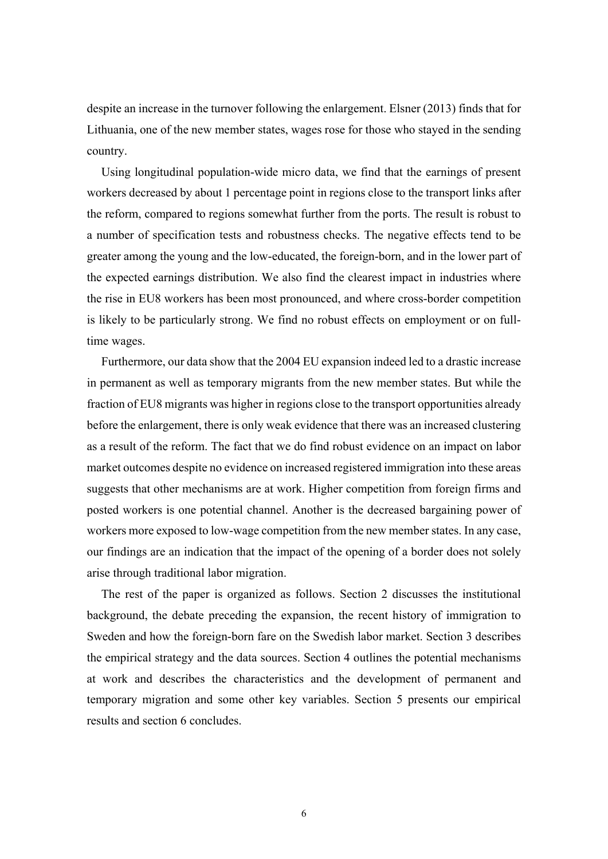despite an increase in the turnover following the enlargement. Elsner (2013) finds that for Lithuania, one of the new member states, wages rose for those who stayed in the sending country.

Using longitudinal population-wide micro data, we find that the earnings of present workers decreased by about 1 percentage point in regions close to the transport links after the reform, compared to regions somewhat further from the ports. The result is robust to a number of specification tests and robustness checks. The negative effects tend to be greater among the young and the low-educated, the foreign-born, and in the lower part of the expected earnings distribution. We also find the clearest impact in industries where the rise in EU8 workers has been most pronounced, and where cross-border competition is likely to be particularly strong. We find no robust effects on employment or on fulltime wages.

Furthermore, our data show that the 2004 EU expansion indeed led to a drastic increase in permanent as well as temporary migrants from the new member states. But while the fraction of EU8 migrants was higher in regions close to the transport opportunities already before the enlargement, there is only weak evidence that there was an increased clustering as a result of the reform. The fact that we do find robust evidence on an impact on labor market outcomes despite no evidence on increased registered immigration into these areas suggests that other mechanisms are at work. Higher competition from foreign firms and posted workers is one potential channel. Another is the decreased bargaining power of workers more exposed to low-wage competition from the new member states. In any case, our findings are an indication that the impact of the opening of a border does not solely arise through traditional labor migration.

The rest of the paper is organized as follows. Section 2 discusses the institutional background, the debate preceding the expansion, the recent history of immigration to Sweden and how the foreign-born fare on the Swedish labor market. Section 3 describes the empirical strategy and the data sources. Section 4 outlines the potential mechanisms at work and describes the characteristics and the development of permanent and temporary migration and some other key variables. Section 5 presents our empirical results and section 6 concludes.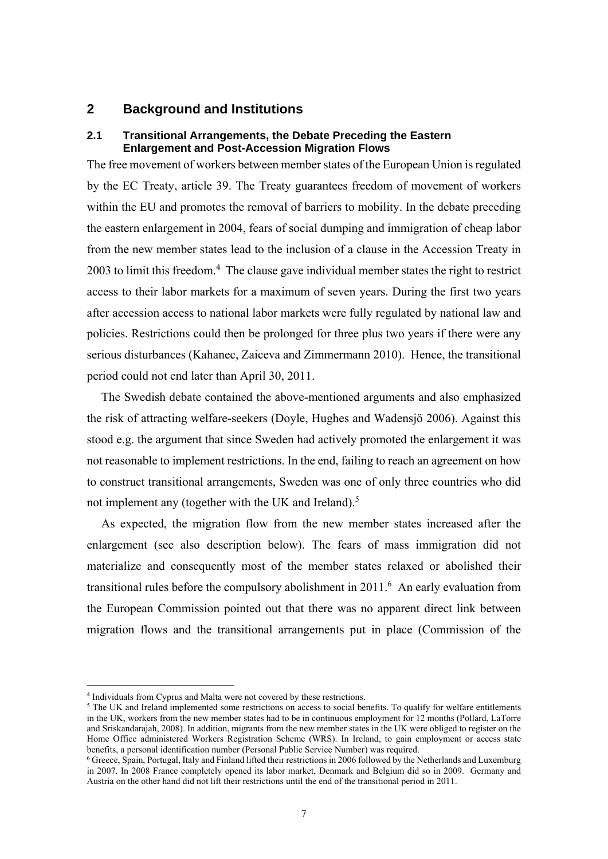## **2 Background and Institutions**

#### **2.1 Transitional Arrangements, the Debate Preceding the Eastern Enlargement and Post-Accession Migration Flows**

The free movement of workers between member states of the European Union is regulated by the EC Treaty, article 39. The Treaty guarantees freedom of movement of workers within the EU and promotes the removal of barriers to mobility. In the debate preceding the eastern enlargement in 2004, fears of social dumping and immigration of cheap labor from the new member states lead to the inclusion of a clause in the Accession Treaty in  $2003$  to limit this freedom.<sup>4</sup> The clause gave individual member states the right to restrict access to their labor markets for a maximum of seven years. During the first two years after accession access to national labor markets were fully regulated by national law and policies. Restrictions could then be prolonged for three plus two years if there were any serious disturbances (Kahanec, Zaiceva and Zimmermann 2010). Hence, the transitional period could not end later than April 30, 2011.

The Swedish debate contained the above-mentioned arguments and also emphasized the risk of attracting welfare-seekers (Doyle, Hughes and Wadensjö 2006). Against this stood e.g. the argument that since Sweden had actively promoted the enlargement it was not reasonable to implement restrictions. In the end, failing to reach an agreement on how to construct transitional arrangements, Sweden was one of only three countries who did not implement any (together with the UK and Ireland).<sup>5</sup>

As expected, the migration flow from the new member states increased after the enlargement (see also description below). The fears of mass immigration did not materialize and consequently most of the member states relaxed or abolished their transitional rules before the compulsory abolishment in  $2011$ .<sup>6</sup> An early evaluation from the European Commission pointed out that there was no apparent direct link between migration flows and the transitional arrangements put in place (Commission of the

<u>.</u>

<sup>4</sup> Individuals from Cyprus and Malta were not covered by these restrictions.

<sup>&</sup>lt;sup>5</sup> The UK and Ireland implemented some restrictions on access to social benefits. To qualify for welfare entitlements in the UK, workers from the new member states had to be in continuous employment for 12 months (Pollard, LaTorre and Sriskandarajah, 2008). In addition, migrants from the new member states in the UK were obliged to register on the Home Office administered Workers Registration Scheme (WRS). In Ireland, to gain employment or access state benefits, a personal identification number (Personal Public Service Number) was required.

 $6$  Greece, Spain, Portugal, Italy and Finland lifted their restrictions in 2006 followed by the Netherlands and Luxemburg in 2007. In 2008 France completely opened its labor market, Denmark and Belgium did so in 2009. Germany and Austria on the other hand did not lift their restrictions until the end of the transitional period in 2011.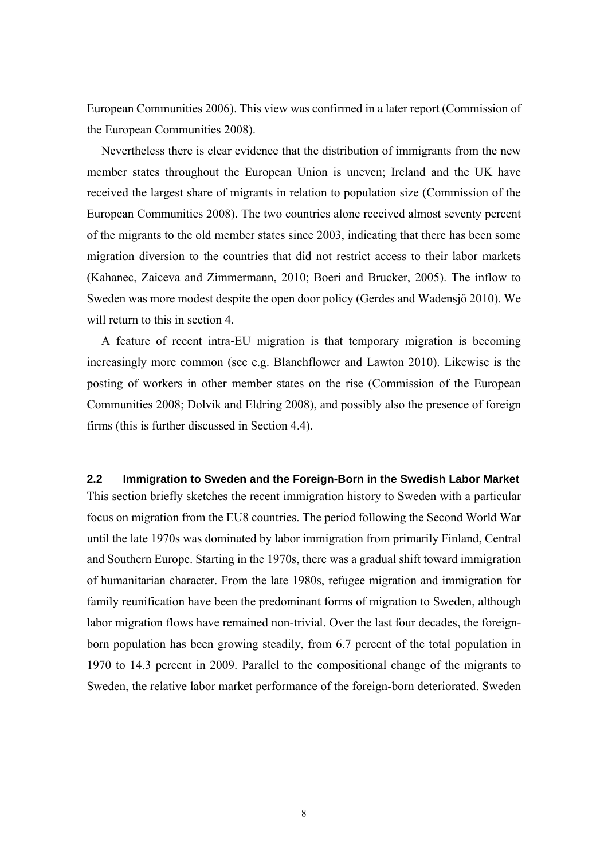European Communities 2006). This view was confirmed in a later report (Commission of the European Communities 2008).

Nevertheless there is clear evidence that the distribution of immigrants from the new member states throughout the European Union is uneven; Ireland and the UK have received the largest share of migrants in relation to population size (Commission of the European Communities 2008). The two countries alone received almost seventy percent of the migrants to the old member states since 2003, indicating that there has been some migration diversion to the countries that did not restrict access to their labor markets (Kahanec, Zaiceva and Zimmermann, 2010; Boeri and Brucker, 2005). The inflow to Sweden was more modest despite the open door policy (Gerdes and Wadensjö 2010). We will return to this in section 4.

A feature of recent intra‐EU migration is that temporary migration is becoming increasingly more common (see e.g. Blanchflower and Lawton 2010). Likewise is the posting of workers in other member states on the rise (Commission of the European Communities 2008; Dolvik and Eldring 2008), and possibly also the presence of foreign firms (this is further discussed in Section 4.4).

**2.2 Immigration to Sweden and the Foreign-Born in the Swedish Labor Market**  This section briefly sketches the recent immigration history to Sweden with a particular focus on migration from the EU8 countries. The period following the Second World War until the late 1970s was dominated by labor immigration from primarily Finland, Central and Southern Europe. Starting in the 1970s, there was a gradual shift toward immigration of humanitarian character. From the late 1980s, refugee migration and immigration for family reunification have been the predominant forms of migration to Sweden, although labor migration flows have remained non-trivial. Over the last four decades, the foreignborn population has been growing steadily, from 6.7 percent of the total population in 1970 to 14.3 percent in 2009. Parallel to the compositional change of the migrants to Sweden, the relative labor market performance of the foreign-born deteriorated. Sweden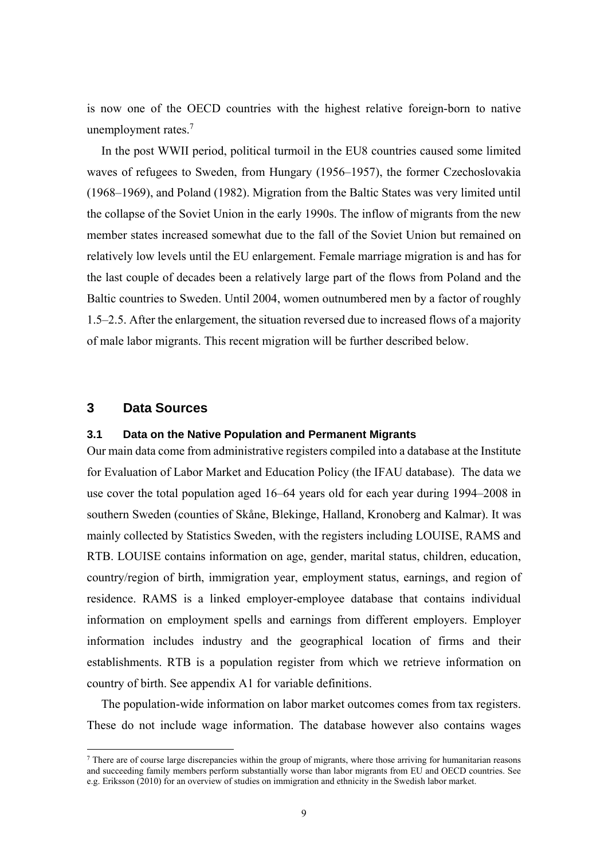is now one of the OECD countries with the highest relative foreign-born to native unemployment rates.<sup>7</sup>

In the post WWII period, political turmoil in the EU8 countries caused some limited waves of refugees to Sweden, from Hungary (1956–1957), the former Czechoslovakia (1968–1969), and Poland (1982). Migration from the Baltic States was very limited until the collapse of the Soviet Union in the early 1990s. The inflow of migrants from the new member states increased somewhat due to the fall of the Soviet Union but remained on relatively low levels until the EU enlargement. Female marriage migration is and has for the last couple of decades been a relatively large part of the flows from Poland and the Baltic countries to Sweden. Until 2004, women outnumbered men by a factor of roughly 1.5–2.5. After the enlargement, the situation reversed due to increased flows of a majority of male labor migrants. This recent migration will be further described below.

### **3 Data Sources**

1

#### **3.1 Data on the Native Population and Permanent Migrants**

Our main data come from administrative registers compiled into a database at the Institute for Evaluation of Labor Market and Education Policy (the IFAU database). The data we use cover the total population aged 16–64 years old for each year during 1994–2008 in southern Sweden (counties of Skåne, Blekinge, Halland, Kronoberg and Kalmar). It was mainly collected by Statistics Sweden, with the registers including LOUISE, RAMS and RTB. LOUISE contains information on age, gender, marital status, children, education, country/region of birth, immigration year, employment status, earnings, and region of residence. RAMS is a linked employer-employee database that contains individual information on employment spells and earnings from different employers. Employer information includes industry and the geographical location of firms and their establishments. RTB is a population register from which we retrieve information on country of birth. See appendix A1 for variable definitions.

The population-wide information on labor market outcomes comes from tax registers. These do not include wage information. The database however also contains wages

 $<sup>7</sup>$  There are of course large discrepancies within the group of migrants, where those arriving for humanitarian reasons</sup> and succeeding family members perform substantially worse than labor migrants from EU and OECD countries. See e.g. Eriksson (2010) for an overview of studies on immigration and ethnicity in the Swedish labor market.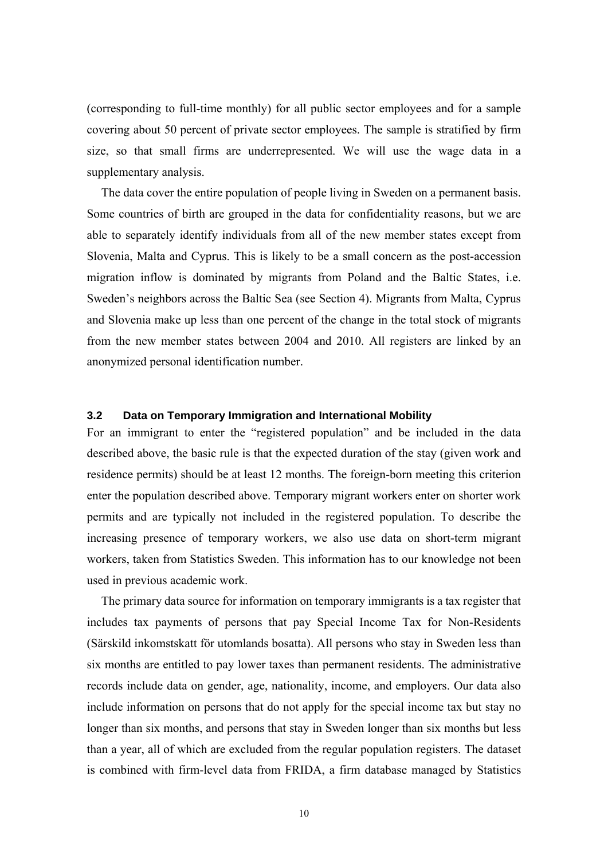(corresponding to full-time monthly) for all public sector employees and for a sample covering about 50 percent of private sector employees. The sample is stratified by firm size, so that small firms are underrepresented. We will use the wage data in a supplementary analysis.

The data cover the entire population of people living in Sweden on a permanent basis. Some countries of birth are grouped in the data for confidentiality reasons, but we are able to separately identify individuals from all of the new member states except from Slovenia, Malta and Cyprus. This is likely to be a small concern as the post-accession migration inflow is dominated by migrants from Poland and the Baltic States, i.e. Sweden's neighbors across the Baltic Sea (see Section 4). Migrants from Malta, Cyprus and Slovenia make up less than one percent of the change in the total stock of migrants from the new member states between 2004 and 2010. All registers are linked by an anonymized personal identification number.

#### **3.2 Data on Temporary Immigration and International Mobility**

For an immigrant to enter the "registered population" and be included in the data described above, the basic rule is that the expected duration of the stay (given work and residence permits) should be at least 12 months. The foreign-born meeting this criterion enter the population described above. Temporary migrant workers enter on shorter work permits and are typically not included in the registered population. To describe the increasing presence of temporary workers, we also use data on short-term migrant workers, taken from Statistics Sweden. This information has to our knowledge not been used in previous academic work.

The primary data source for information on temporary immigrants is a tax register that includes tax payments of persons that pay Special Income Tax for Non-Residents (Särskild inkomstskatt för utomlands bosatta). All persons who stay in Sweden less than six months are entitled to pay lower taxes than permanent residents. The administrative records include data on gender, age, nationality, income, and employers. Our data also include information on persons that do not apply for the special income tax but stay no longer than six months, and persons that stay in Sweden longer than six months but less than a year, all of which are excluded from the regular population registers. The dataset is combined with firm-level data from FRIDA, a firm database managed by Statistics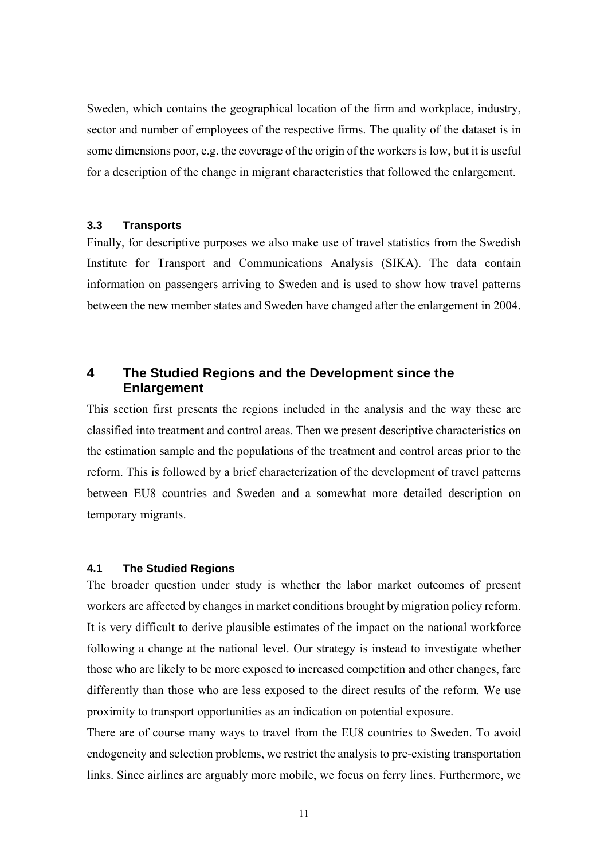Sweden, which contains the geographical location of the firm and workplace, industry, sector and number of employees of the respective firms. The quality of the dataset is in some dimensions poor, e.g. the coverage of the origin of the workers is low, but it is useful for a description of the change in migrant characteristics that followed the enlargement.

#### **3.3 Transports**

Finally, for descriptive purposes we also make use of travel statistics from the Swedish Institute for Transport and Communications Analysis (SIKA). The data contain information on passengers arriving to Sweden and is used to show how travel patterns between the new member states and Sweden have changed after the enlargement in 2004.

## **4 The Studied Regions and the Development since the Enlargement**

This section first presents the regions included in the analysis and the way these are classified into treatment and control areas. Then we present descriptive characteristics on the estimation sample and the populations of the treatment and control areas prior to the reform. This is followed by a brief characterization of the development of travel patterns between EU8 countries and Sweden and a somewhat more detailed description on temporary migrants.

#### **4.1 The Studied Regions**

The broader question under study is whether the labor market outcomes of present workers are affected by changes in market conditions brought by migration policy reform. It is very difficult to derive plausible estimates of the impact on the national workforce following a change at the national level. Our strategy is instead to investigate whether those who are likely to be more exposed to increased competition and other changes, fare differently than those who are less exposed to the direct results of the reform. We use proximity to transport opportunities as an indication on potential exposure.

There are of course many ways to travel from the EU8 countries to Sweden. To avoid endogeneity and selection problems, we restrict the analysis to pre-existing transportation links. Since airlines are arguably more mobile, we focus on ferry lines. Furthermore, we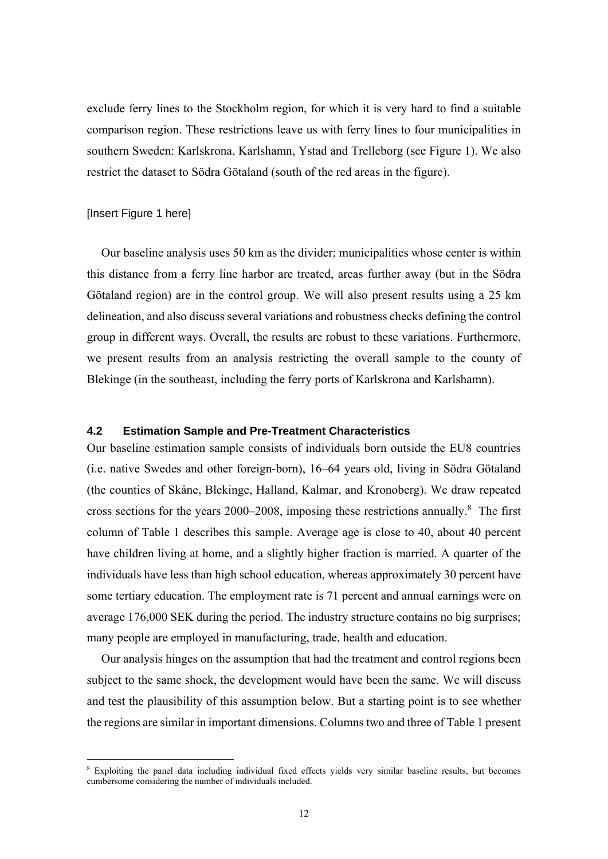exclude ferry lines to the Stockholm region, for which it is very hard to find a suitable comparison region. These restrictions leave us with ferry lines to four municipalities in southern Sweden: Karlskrona, Karlshamn, Ystad and Trelleborg (see Figure 1). We also restrict the dataset to Södra Götaland (south of the red areas in the figure).

#### [Insert Figure 1 here]

1

Our baseline analysis uses 50 km as the divider; municipalities whose center is within this distance from a ferry line harbor are treated, areas further away (but in the Södra Götaland region) are in the control group. We will also present results using a 25 km delineation, and also discuss several variations and robustness checks defining the control group in different ways. Overall, the results are robust to these variations. Furthermore, we present results from an analysis restricting the overall sample to the county of Blekinge (in the southeast, including the ferry ports of Karlskrona and Karlshamn).

#### **4.2 Estimation Sample and Pre-Treatment Characteristics**

Our baseline estimation sample consists of individuals born outside the EU8 countries (i.e. native Swedes and other foreign-born), 16–64 years old, living in Södra Götaland (the counties of Skåne, Blekinge, Halland, Kalmar, and Kronoberg). We draw repeated cross sections for the years 2000–2008, imposing these restrictions annually.8 The first column of Table 1 describes this sample. Average age is close to 40, about 40 percent have children living at home, and a slightly higher fraction is married. A quarter of the individuals have less than high school education, whereas approximately 30 percent have some tertiary education. The employment rate is 71 percent and annual earnings were on average 176,000 SEK during the period. The industry structure contains no big surprises; many people are employed in manufacturing, trade, health and education.

Our analysis hinges on the assumption that had the treatment and control regions been subject to the same shock, the development would have been the same. We will discuss and test the plausibility of this assumption below. But a starting point is to see whether the regions are similar in important dimensions. Columns two and three of Table 1 present

<sup>8</sup> Exploiting the panel data including individual fixed effects yields very similar baseline results, but becomes cumbersome considering the number of individuals included.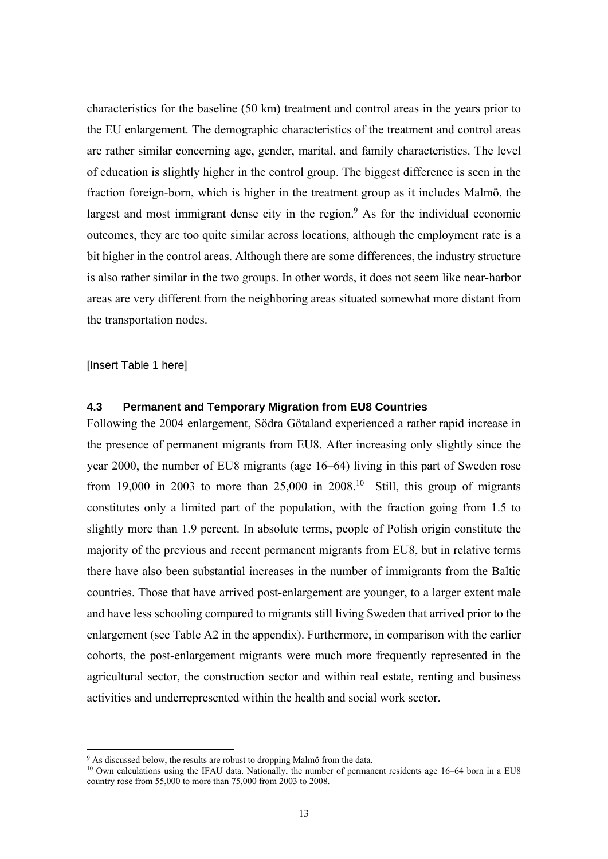characteristics for the baseline (50 km) treatment and control areas in the years prior to the EU enlargement. The demographic characteristics of the treatment and control areas are rather similar concerning age, gender, marital, and family characteristics. The level of education is slightly higher in the control group. The biggest difference is seen in the fraction foreign-born, which is higher in the treatment group as it includes Malmö, the largest and most immigrant dense city in the region. $9$  As for the individual economic outcomes, they are too quite similar across locations, although the employment rate is a bit higher in the control areas. Although there are some differences, the industry structure is also rather similar in the two groups. In other words, it does not seem like near-harbor areas are very different from the neighboring areas situated somewhat more distant from the transportation nodes.

[Insert Table 1 here]

1

#### **4.3 Permanent and Temporary Migration from EU8 Countries**

Following the 2004 enlargement, Södra Götaland experienced a rather rapid increase in the presence of permanent migrants from EU8. After increasing only slightly since the year 2000, the number of EU8 migrants (age 16–64) living in this part of Sweden rose from 19,000 in 2003 to more than  $25,000$  in  $2008$ <sup>10</sup> Still, this group of migrants constitutes only a limited part of the population, with the fraction going from 1.5 to slightly more than 1.9 percent. In absolute terms, people of Polish origin constitute the majority of the previous and recent permanent migrants from EU8, but in relative terms there have also been substantial increases in the number of immigrants from the Baltic countries. Those that have arrived post-enlargement are younger, to a larger extent male and have less schooling compared to migrants still living Sweden that arrived prior to the enlargement (see Table A2 in the appendix). Furthermore, in comparison with the earlier cohorts, the post-enlargement migrants were much more frequently represented in the agricultural sector, the construction sector and within real estate, renting and business activities and underrepresented within the health and social work sector.

<sup>&</sup>lt;sup>9</sup> As discussed below, the results are robust to dropping Malmö from the data.<br><sup>10</sup> Own calculations using the IFAU data. Nationally, the number of permanent residents age 16–64 born in a EU8 country rose from  $55,000$  to more than  $75,000$  from  $2003$  to  $2008$ .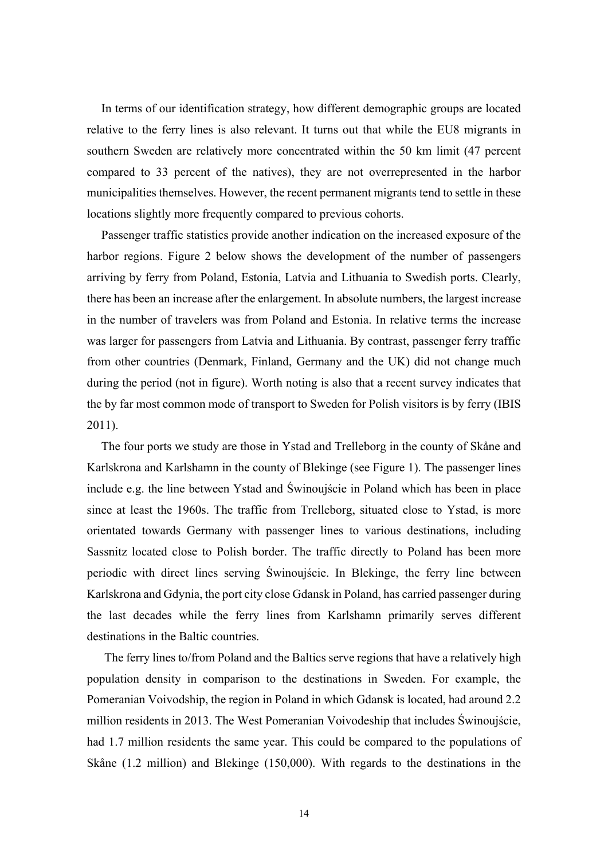In terms of our identification strategy, how different demographic groups are located relative to the ferry lines is also relevant. It turns out that while the EU8 migrants in southern Sweden are relatively more concentrated within the 50 km limit (47 percent compared to 33 percent of the natives), they are not overrepresented in the harbor municipalities themselves. However, the recent permanent migrants tend to settle in these locations slightly more frequently compared to previous cohorts.

Passenger traffic statistics provide another indication on the increased exposure of the harbor regions. Figure 2 below shows the development of the number of passengers arriving by ferry from Poland, Estonia, Latvia and Lithuania to Swedish ports. Clearly, there has been an increase after the enlargement. In absolute numbers, the largest increase in the number of travelers was from Poland and Estonia. In relative terms the increase was larger for passengers from Latvia and Lithuania. By contrast, passenger ferry traffic from other countries (Denmark, Finland, Germany and the UK) did not change much during the period (not in figure). Worth noting is also that a recent survey indicates that the by far most common mode of transport to Sweden for Polish visitors is by ferry (IBIS 2011).

The four ports we study are those in Ystad and Trelleborg in the county of Skåne and Karlskrona and Karlshamn in the county of Blekinge (see Figure 1). The passenger lines include e.g. the line between Ystad and Świnoujście in Poland which has been in place since at least the 1960s. The traffic from Trelleborg, situated close to Ystad, is more orientated towards Germany with passenger lines to various destinations, including Sassnitz located close to Polish border. The traffic directly to Poland has been more periodic with direct lines serving Świnoujście. In Blekinge, the ferry line between Karlskrona and Gdynia, the port city close Gdansk in Poland, has carried passenger during the last decades while the ferry lines from Karlshamn primarily serves different destinations in the Baltic countries.

 The ferry lines to/from Poland and the Baltics serve regions that have a relatively high population density in comparison to the destinations in Sweden. For example, the Pomeranian Voivodship, the region in Poland in which Gdansk is located, had around 2.2 million residents in 2013. The West Pomeranian Voivodeship that includes Świnoujście, had 1.7 million residents the same year. This could be compared to the populations of Skåne (1.2 million) and Blekinge (150,000). With regards to the destinations in the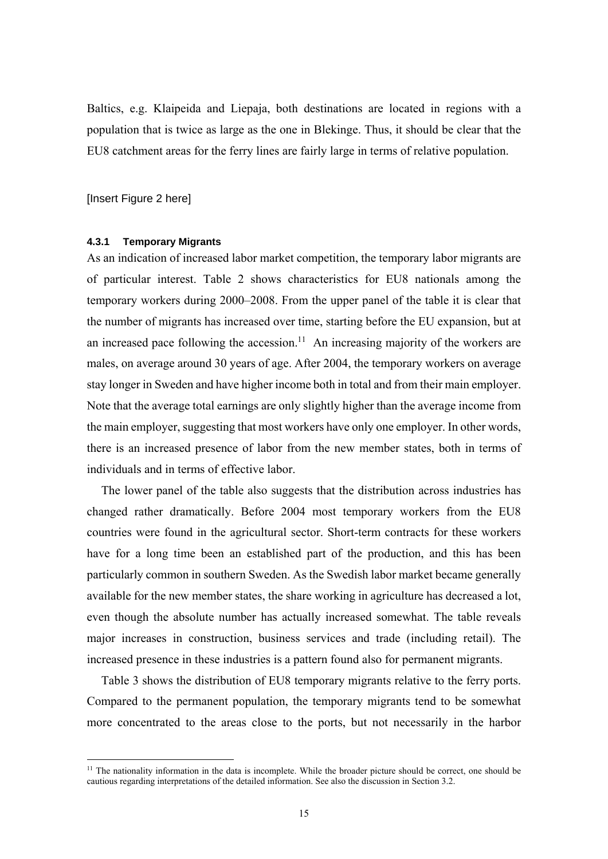Baltics, e.g. Klaipeida and Liepaja, both destinations are located in regions with a population that is twice as large as the one in Blekinge. Thus, it should be clear that the EU8 catchment areas for the ferry lines are fairly large in terms of relative population.

[Insert Figure 2 here]

1

#### **4.3.1 Temporary Migrants**

As an indication of increased labor market competition, the temporary labor migrants are of particular interest. Table 2 shows characteristics for EU8 nationals among the temporary workers during 2000–2008. From the upper panel of the table it is clear that the number of migrants has increased over time, starting before the EU expansion, but at an increased pace following the accession.<sup>11</sup> An increasing majority of the workers are males, on average around 30 years of age. After 2004, the temporary workers on average stay longer in Sweden and have higher income both in total and from their main employer. Note that the average total earnings are only slightly higher than the average income from the main employer, suggesting that most workers have only one employer. In other words, there is an increased presence of labor from the new member states, both in terms of individuals and in terms of effective labor.

The lower panel of the table also suggests that the distribution across industries has changed rather dramatically. Before 2004 most temporary workers from the EU8 countries were found in the agricultural sector. Short-term contracts for these workers have for a long time been an established part of the production, and this has been particularly common in southern Sweden. As the Swedish labor market became generally available for the new member states, the share working in agriculture has decreased a lot, even though the absolute number has actually increased somewhat. The table reveals major increases in construction, business services and trade (including retail). The increased presence in these industries is a pattern found also for permanent migrants.

Table 3 shows the distribution of EU8 temporary migrants relative to the ferry ports. Compared to the permanent population, the temporary migrants tend to be somewhat more concentrated to the areas close to the ports, but not necessarily in the harbor

 $11$  The nationality information in the data is incomplete. While the broader picture should be correct, one should be cautious regarding interpretations of the detailed information. See also the discussion in Section 3.2.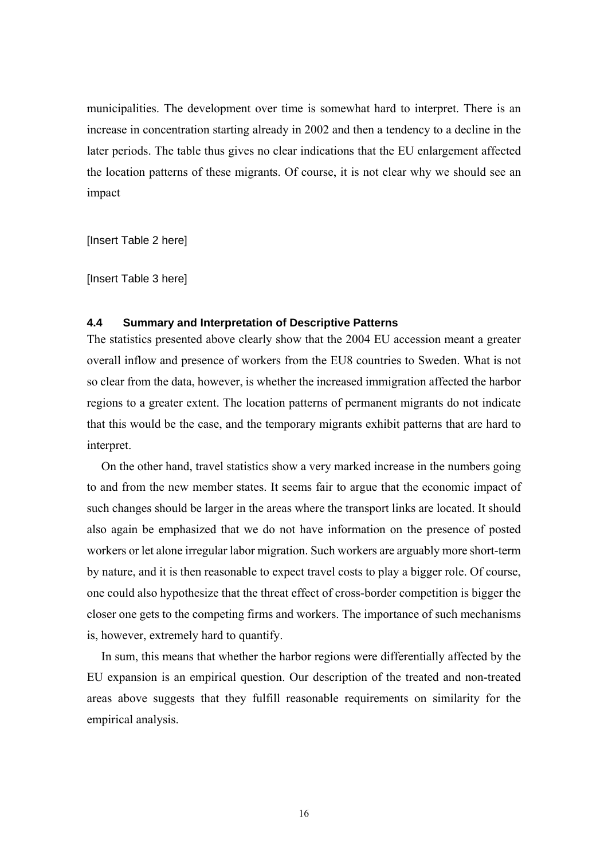municipalities. The development over time is somewhat hard to interpret. There is an increase in concentration starting already in 2002 and then a tendency to a decline in the later periods. The table thus gives no clear indications that the EU enlargement affected the location patterns of these migrants. Of course, it is not clear why we should see an impact

[Insert Table 2 here]

[Insert Table 3 here]

#### **4.4 Summary and Interpretation of Descriptive Patterns**

The statistics presented above clearly show that the 2004 EU accession meant a greater overall inflow and presence of workers from the EU8 countries to Sweden. What is not so clear from the data, however, is whether the increased immigration affected the harbor regions to a greater extent. The location patterns of permanent migrants do not indicate that this would be the case, and the temporary migrants exhibit patterns that are hard to interpret.

On the other hand, travel statistics show a very marked increase in the numbers going to and from the new member states. It seems fair to argue that the economic impact of such changes should be larger in the areas where the transport links are located. It should also again be emphasized that we do not have information on the presence of posted workers or let alone irregular labor migration. Such workers are arguably more short-term by nature, and it is then reasonable to expect travel costs to play a bigger role. Of course, one could also hypothesize that the threat effect of cross-border competition is bigger the closer one gets to the competing firms and workers. The importance of such mechanisms is, however, extremely hard to quantify.

In sum, this means that whether the harbor regions were differentially affected by the EU expansion is an empirical question. Our description of the treated and non-treated areas above suggests that they fulfill reasonable requirements on similarity for the empirical analysis.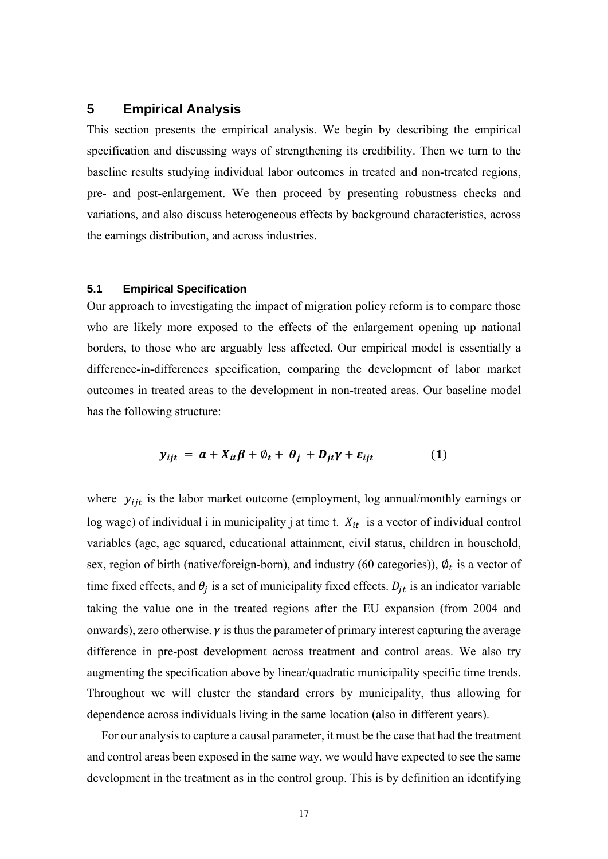### **5 Empirical Analysis**

This section presents the empirical analysis. We begin by describing the empirical specification and discussing ways of strengthening its credibility. Then we turn to the baseline results studying individual labor outcomes in treated and non-treated regions, pre- and post-enlargement. We then proceed by presenting robustness checks and variations, and also discuss heterogeneous effects by background characteristics, across the earnings distribution, and across industries.

#### **5.1 Empirical Specification**

Our approach to investigating the impact of migration policy reform is to compare those who are likely more exposed to the effects of the enlargement opening up national borders, to those who are arguably less affected. Our empirical model is essentially a difference-in-differences specification, comparing the development of labor market outcomes in treated areas to the development in non-treated areas. Our baseline model has the following structure:

$$
y_{ijt} = a + X_{it}\beta + \varphi_t + \theta_j + D_{jt}\gamma + \varepsilon_{ijt}
$$
 (1)

where  $y_{i}$  is the labor market outcome (employment, log annual/monthly earnings or log wage) of individual i in municipality j at time t.  $X_{it}$  is a vector of individual control variables (age, age squared, educational attainment, civil status, children in household, sex, region of birth (native/foreign-born), and industry (60 categories)),  $\varphi_t$  is a vector of time fixed effects, and  $\theta_i$  is a set of municipality fixed effects.  $D_{it}$  is an indicator variable taking the value one in the treated regions after the EU expansion (from 2004 and onwards), zero otherwise.  $\gamma$  is thus the parameter of primary interest capturing the average difference in pre-post development across treatment and control areas. We also try augmenting the specification above by linear/quadratic municipality specific time trends. Throughout we will cluster the standard errors by municipality, thus allowing for dependence across individuals living in the same location (also in different years).

For our analysis to capture a causal parameter, it must be the case that had the treatment and control areas been exposed in the same way, we would have expected to see the same development in the treatment as in the control group. This is by definition an identifying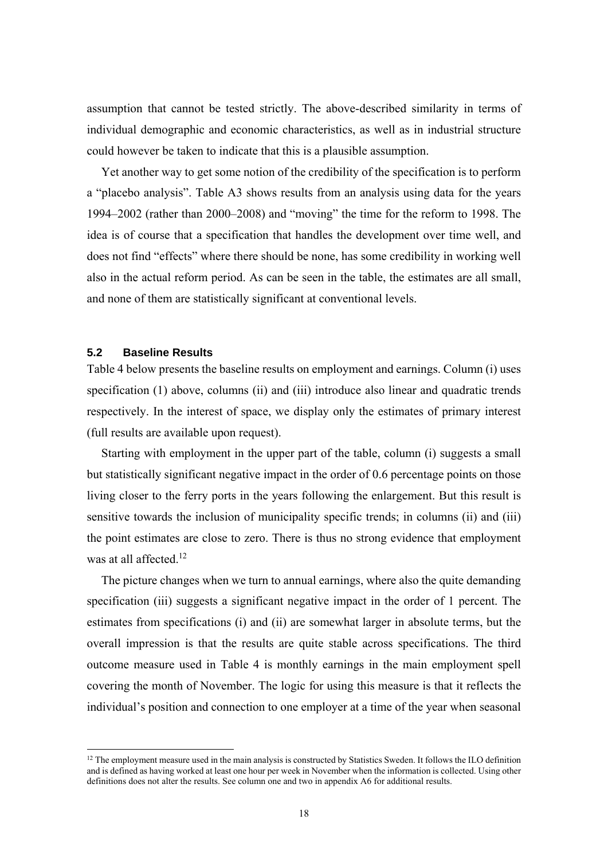assumption that cannot be tested strictly. The above-described similarity in terms of individual demographic and economic characteristics, as well as in industrial structure could however be taken to indicate that this is a plausible assumption.

Yet another way to get some notion of the credibility of the specification is to perform a "placebo analysis". Table A3 shows results from an analysis using data for the years 1994–2002 (rather than 2000–2008) and "moving" the time for the reform to 1998. The idea is of course that a specification that handles the development over time well, and does not find "effects" where there should be none, has some credibility in working well also in the actual reform period. As can be seen in the table, the estimates are all small, and none of them are statistically significant at conventional levels.

#### **5.2 Baseline Results**

1

Table 4 below presents the baseline results on employment and earnings. Column (i) uses specification (1) above, columns (ii) and (iii) introduce also linear and quadratic trends respectively. In the interest of space, we display only the estimates of primary interest (full results are available upon request).

Starting with employment in the upper part of the table, column (i) suggests a small but statistically significant negative impact in the order of 0.6 percentage points on those living closer to the ferry ports in the years following the enlargement. But this result is sensitive towards the inclusion of municipality specific trends; in columns (ii) and (iii) the point estimates are close to zero. There is thus no strong evidence that employment was at all affected.<sup>12</sup>

The picture changes when we turn to annual earnings, where also the quite demanding specification (iii) suggests a significant negative impact in the order of 1 percent. The estimates from specifications (i) and (ii) are somewhat larger in absolute terms, but the overall impression is that the results are quite stable across specifications. The third outcome measure used in Table 4 is monthly earnings in the main employment spell covering the month of November. The logic for using this measure is that it reflects the individual's position and connection to one employer at a time of the year when seasonal

 $12$  The employment measure used in the main analysis is constructed by Statistics Sweden. It follows the ILO definition and is defined as having worked at least one hour per week in November when the information is collected. Using other definitions does not alter the results. See column one and two in appendix A6 for additional results.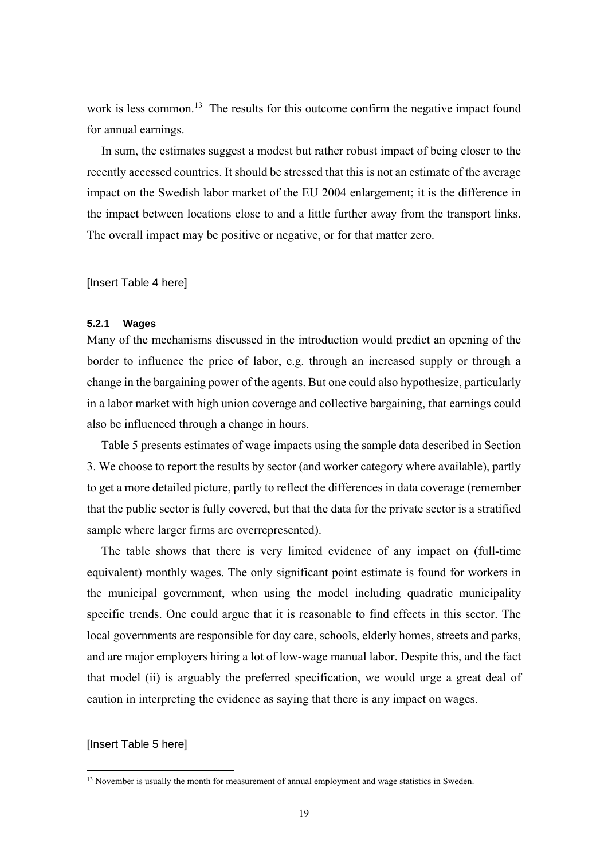work is less common.<sup>13</sup> The results for this outcome confirm the negative impact found for annual earnings.

In sum, the estimates suggest a modest but rather robust impact of being closer to the recently accessed countries. It should be stressed that this is not an estimate of the average impact on the Swedish labor market of the EU 2004 enlargement; it is the difference in the impact between locations close to and a little further away from the transport links. The overall impact may be positive or negative, or for that matter zero.

[Insert Table 4 here]

#### **5.2.1 Wages**

Many of the mechanisms discussed in the introduction would predict an opening of the border to influence the price of labor, e.g. through an increased supply or through a change in the bargaining power of the agents. But one could also hypothesize, particularly in a labor market with high union coverage and collective bargaining, that earnings could also be influenced through a change in hours.

Table 5 presents estimates of wage impacts using the sample data described in Section 3. We choose to report the results by sector (and worker category where available), partly to get a more detailed picture, partly to reflect the differences in data coverage (remember that the public sector is fully covered, but that the data for the private sector is a stratified sample where larger firms are overrepresented).

The table shows that there is very limited evidence of any impact on (full-time equivalent) monthly wages. The only significant point estimate is found for workers in the municipal government, when using the model including quadratic municipality specific trends. One could argue that it is reasonable to find effects in this sector. The local governments are responsible for day care, schools, elderly homes, streets and parks, and are major employers hiring a lot of low-wage manual labor. Despite this, and the fact that model (ii) is arguably the preferred specification, we would urge a great deal of caution in interpreting the evidence as saying that there is any impact on wages.

#### [Insert Table 5 here]

1

<sup>&</sup>lt;sup>13</sup> November is usually the month for measurement of annual employment and wage statistics in Sweden.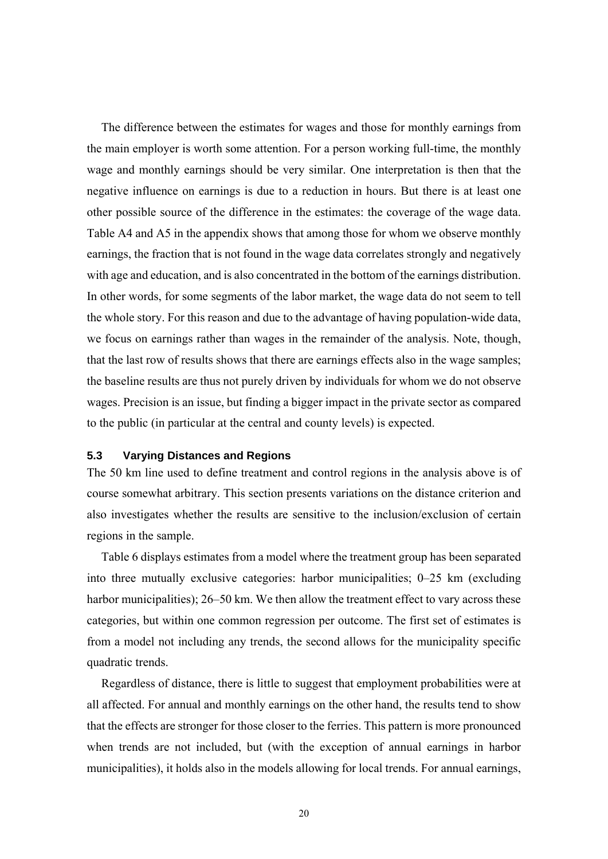The difference between the estimates for wages and those for monthly earnings from the main employer is worth some attention. For a person working full-time, the monthly wage and monthly earnings should be very similar. One interpretation is then that the negative influence on earnings is due to a reduction in hours. But there is at least one other possible source of the difference in the estimates: the coverage of the wage data. Table A4 and A5 in the appendix shows that among those for whom we observe monthly earnings, the fraction that is not found in the wage data correlates strongly and negatively with age and education, and is also concentrated in the bottom of the earnings distribution. In other words, for some segments of the labor market, the wage data do not seem to tell the whole story. For this reason and due to the advantage of having population-wide data, we focus on earnings rather than wages in the remainder of the analysis. Note, though, that the last row of results shows that there are earnings effects also in the wage samples; the baseline results are thus not purely driven by individuals for whom we do not observe wages. Precision is an issue, but finding a bigger impact in the private sector as compared to the public (in particular at the central and county levels) is expected.

#### **5.3 Varying Distances and Regions**

The 50 km line used to define treatment and control regions in the analysis above is of course somewhat arbitrary. This section presents variations on the distance criterion and also investigates whether the results are sensitive to the inclusion/exclusion of certain regions in the sample.

Table 6 displays estimates from a model where the treatment group has been separated into three mutually exclusive categories: harbor municipalities; 0–25 km (excluding harbor municipalities); 26–50 km. We then allow the treatment effect to vary across these categories, but within one common regression per outcome. The first set of estimates is from a model not including any trends, the second allows for the municipality specific quadratic trends.

Regardless of distance, there is little to suggest that employment probabilities were at all affected. For annual and monthly earnings on the other hand, the results tend to show that the effects are stronger for those closer to the ferries. This pattern is more pronounced when trends are not included, but (with the exception of annual earnings in harbor municipalities), it holds also in the models allowing for local trends. For annual earnings,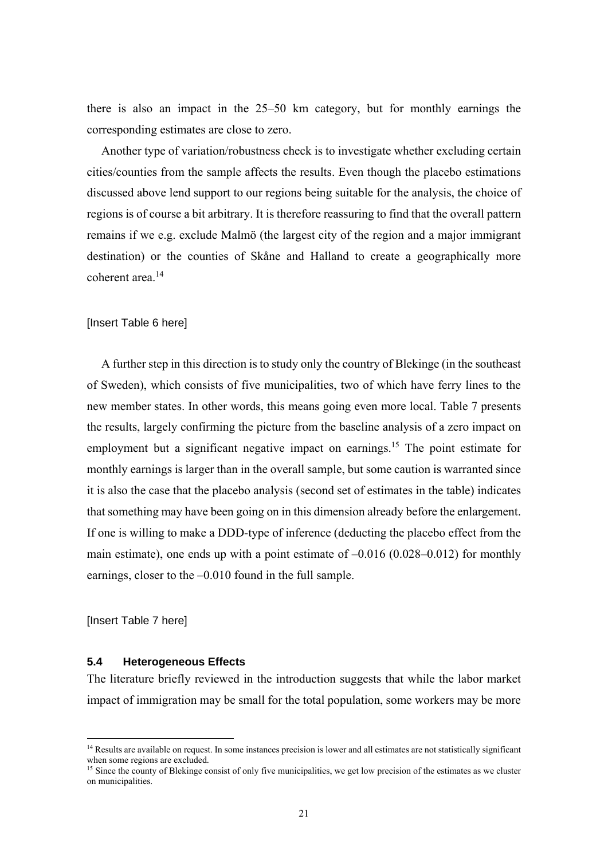there is also an impact in the 25–50 km category, but for monthly earnings the corresponding estimates are close to zero.

Another type of variation/robustness check is to investigate whether excluding certain cities/counties from the sample affects the results. Even though the placebo estimations discussed above lend support to our regions being suitable for the analysis, the choice of regions is of course a bit arbitrary. It is therefore reassuring to find that the overall pattern remains if we e.g. exclude Malmö (the largest city of the region and a major immigrant destination) or the counties of Skåne and Halland to create a geographically more coherent area<sup>14</sup>

#### [Insert Table 6 here]

A further step in this direction is to study only the country of Blekinge (in the southeast of Sweden), which consists of five municipalities, two of which have ferry lines to the new member states. In other words, this means going even more local. Table 7 presents the results, largely confirming the picture from the baseline analysis of a zero impact on employment but a significant negative impact on earnings.<sup>15</sup> The point estimate for monthly earnings is larger than in the overall sample, but some caution is warranted since it is also the case that the placebo analysis (second set of estimates in the table) indicates that something may have been going on in this dimension already before the enlargement. If one is willing to make a DDD-type of inference (deducting the placebo effect from the main estimate), one ends up with a point estimate of –0.016 (0.028–0.012) for monthly earnings, closer to the –0.010 found in the full sample.

[Insert Table 7 here]

<u>.</u>

#### **5.4 Heterogeneous Effects**

The literature briefly reviewed in the introduction suggests that while the labor market impact of immigration may be small for the total population, some workers may be more

<sup>&</sup>lt;sup>14</sup> Results are available on request. In some instances precision is lower and all estimates are not statistically significant when some regions are excluded.

<sup>&</sup>lt;sup>15</sup> Since the county of Blekinge consist of only five municipalities, we get low precision of the estimates as we cluster on municipalities.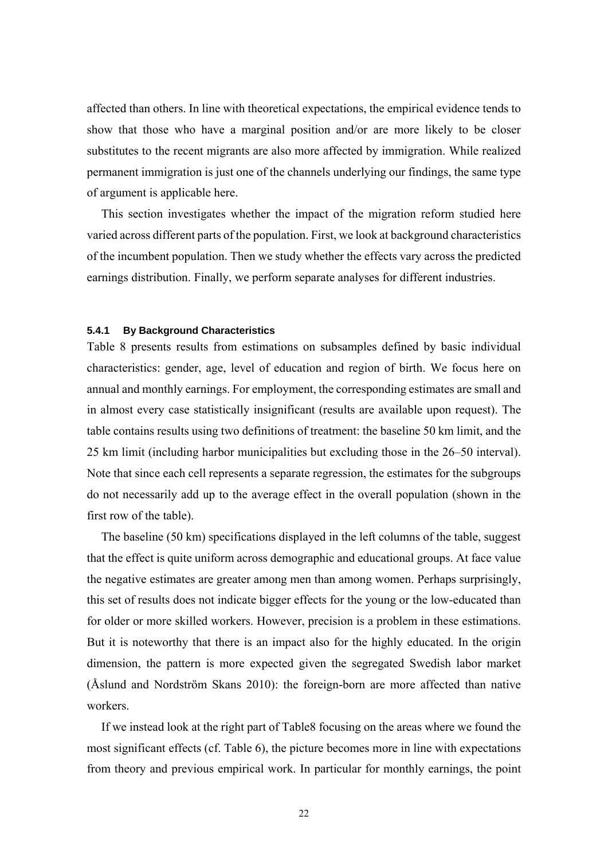affected than others. In line with theoretical expectations, the empirical evidence tends to show that those who have a marginal position and/or are more likely to be closer substitutes to the recent migrants are also more affected by immigration. While realized permanent immigration is just one of the channels underlying our findings, the same type of argument is applicable here.

This section investigates whether the impact of the migration reform studied here varied across different parts of the population. First, we look at background characteristics of the incumbent population. Then we study whether the effects vary across the predicted earnings distribution. Finally, we perform separate analyses for different industries.

#### **5.4.1 By Background Characteristics**

Table 8 presents results from estimations on subsamples defined by basic individual characteristics: gender, age, level of education and region of birth. We focus here on annual and monthly earnings. For employment, the corresponding estimates are small and in almost every case statistically insignificant (results are available upon request). The table contains results using two definitions of treatment: the baseline 50 km limit, and the 25 km limit (including harbor municipalities but excluding those in the 26–50 interval). Note that since each cell represents a separate regression, the estimates for the subgroups do not necessarily add up to the average effect in the overall population (shown in the first row of the table).

The baseline (50 km) specifications displayed in the left columns of the table, suggest that the effect is quite uniform across demographic and educational groups. At face value the negative estimates are greater among men than among women. Perhaps surprisingly, this set of results does not indicate bigger effects for the young or the low-educated than for older or more skilled workers. However, precision is a problem in these estimations. But it is noteworthy that there is an impact also for the highly educated. In the origin dimension, the pattern is more expected given the segregated Swedish labor market (Åslund and Nordström Skans 2010): the foreign-born are more affected than native workers.

If we instead look at the right part of Table8 focusing on the areas where we found the most significant effects (cf. Table 6), the picture becomes more in line with expectations from theory and previous empirical work. In particular for monthly earnings, the point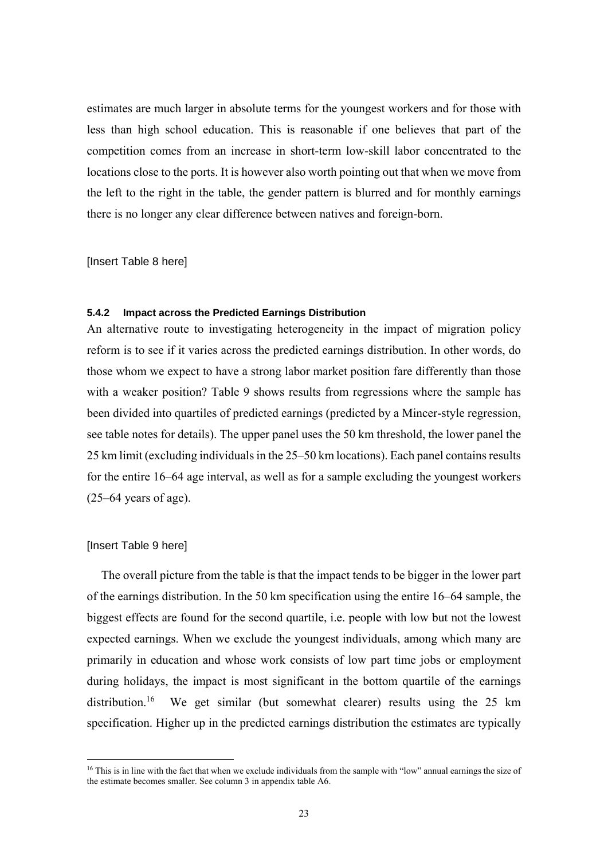estimates are much larger in absolute terms for the youngest workers and for those with less than high school education. This is reasonable if one believes that part of the competition comes from an increase in short-term low-skill labor concentrated to the locations close to the ports. It is however also worth pointing out that when we move from the left to the right in the table, the gender pattern is blurred and for monthly earnings there is no longer any clear difference between natives and foreign-born.

[Insert Table 8 here]

#### **5.4.2 Impact across the Predicted Earnings Distribution**

An alternative route to investigating heterogeneity in the impact of migration policy reform is to see if it varies across the predicted earnings distribution. In other words, do those whom we expect to have a strong labor market position fare differently than those with a weaker position? Table 9 shows results from regressions where the sample has been divided into quartiles of predicted earnings (predicted by a Mincer-style regression, see table notes for details). The upper panel uses the 50 km threshold, the lower panel the 25 km limit (excluding individuals in the 25–50 km locations). Each panel contains results for the entire 16–64 age interval, as well as for a sample excluding the youngest workers  $(25-64 \text{ years of age}).$ 

#### [Insert Table 9 here]

1

The overall picture from the table is that the impact tends to be bigger in the lower part of the earnings distribution. In the 50 km specification using the entire 16–64 sample, the biggest effects are found for the second quartile, i.e. people with low but not the lowest expected earnings. When we exclude the youngest individuals, among which many are primarily in education and whose work consists of low part time jobs or employment during holidays, the impact is most significant in the bottom quartile of the earnings distribution.<sup>16</sup> We get similar (but somewhat clearer) results using the 25 km specification. Higher up in the predicted earnings distribution the estimates are typically

<sup>&</sup>lt;sup>16</sup> This is in line with the fact that when we exclude individuals from the sample with "low" annual earnings the size of the estimate becomes smaller. See column 3 in appendix table A6.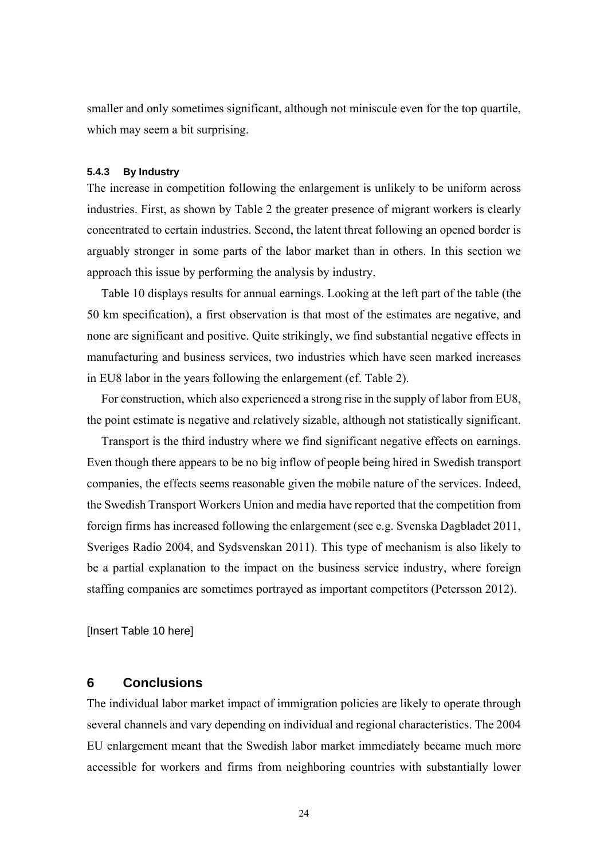smaller and only sometimes significant, although not miniscule even for the top quartile, which may seem a bit surprising.

#### **5.4.3 By Industry**

The increase in competition following the enlargement is unlikely to be uniform across industries. First, as shown by Table 2 the greater presence of migrant workers is clearly concentrated to certain industries. Second, the latent threat following an opened border is arguably stronger in some parts of the labor market than in others. In this section we approach this issue by performing the analysis by industry.

Table 10 displays results for annual earnings. Looking at the left part of the table (the 50 km specification), a first observation is that most of the estimates are negative, and none are significant and positive. Quite strikingly, we find substantial negative effects in manufacturing and business services, two industries which have seen marked increases in EU8 labor in the years following the enlargement (cf. Table 2).

For construction, which also experienced a strong rise in the supply of labor from EU8, the point estimate is negative and relatively sizable, although not statistically significant.

Transport is the third industry where we find significant negative effects on earnings. Even though there appears to be no big inflow of people being hired in Swedish transport companies, the effects seems reasonable given the mobile nature of the services. Indeed, the Swedish Transport Workers Union and media have reported that the competition from foreign firms has increased following the enlargement (see e.g. Svenska Dagbladet 2011, Sveriges Radio 2004, and Sydsvenskan 2011). This type of mechanism is also likely to be a partial explanation to the impact on the business service industry, where foreign staffing companies are sometimes portrayed as important competitors (Petersson 2012).

[Insert Table 10 here]

### **6 Conclusions**

The individual labor market impact of immigration policies are likely to operate through several channels and vary depending on individual and regional characteristics. The 2004 EU enlargement meant that the Swedish labor market immediately became much more accessible for workers and firms from neighboring countries with substantially lower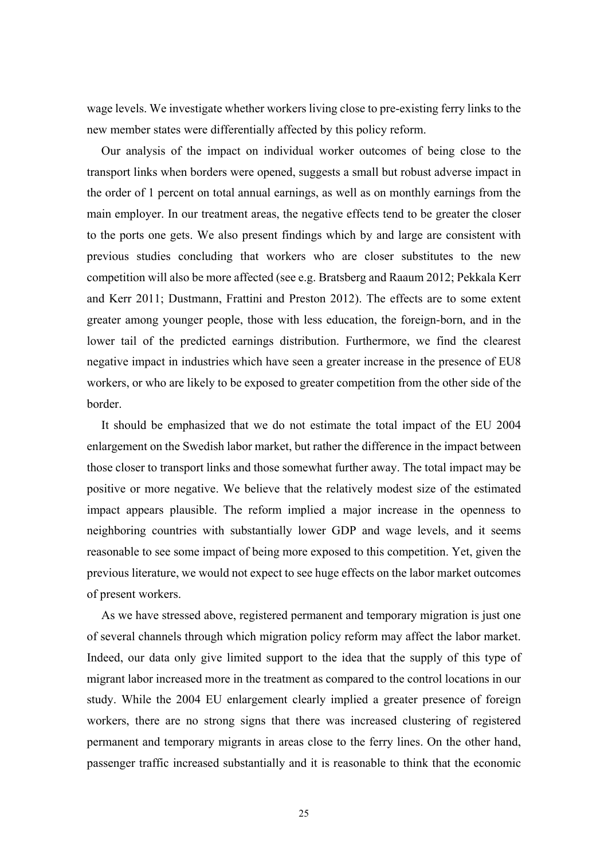wage levels. We investigate whether workers living close to pre-existing ferry links to the new member states were differentially affected by this policy reform.

Our analysis of the impact on individual worker outcomes of being close to the transport links when borders were opened, suggests a small but robust adverse impact in the order of 1 percent on total annual earnings, as well as on monthly earnings from the main employer. In our treatment areas, the negative effects tend to be greater the closer to the ports one gets. We also present findings which by and large are consistent with previous studies concluding that workers who are closer substitutes to the new competition will also be more affected (see e.g. Bratsberg and Raaum 2012; Pekkala Kerr and Kerr 2011; Dustmann, Frattini and Preston 2012). The effects are to some extent greater among younger people, those with less education, the foreign-born, and in the lower tail of the predicted earnings distribution. Furthermore, we find the clearest negative impact in industries which have seen a greater increase in the presence of EU8 workers, or who are likely to be exposed to greater competition from the other side of the border.

It should be emphasized that we do not estimate the total impact of the EU 2004 enlargement on the Swedish labor market, but rather the difference in the impact between those closer to transport links and those somewhat further away. The total impact may be positive or more negative. We believe that the relatively modest size of the estimated impact appears plausible. The reform implied a major increase in the openness to neighboring countries with substantially lower GDP and wage levels, and it seems reasonable to see some impact of being more exposed to this competition. Yet, given the previous literature, we would not expect to see huge effects on the labor market outcomes of present workers.

As we have stressed above, registered permanent and temporary migration is just one of several channels through which migration policy reform may affect the labor market. Indeed, our data only give limited support to the idea that the supply of this type of migrant labor increased more in the treatment as compared to the control locations in our study. While the 2004 EU enlargement clearly implied a greater presence of foreign workers, there are no strong signs that there was increased clustering of registered permanent and temporary migrants in areas close to the ferry lines. On the other hand, passenger traffic increased substantially and it is reasonable to think that the economic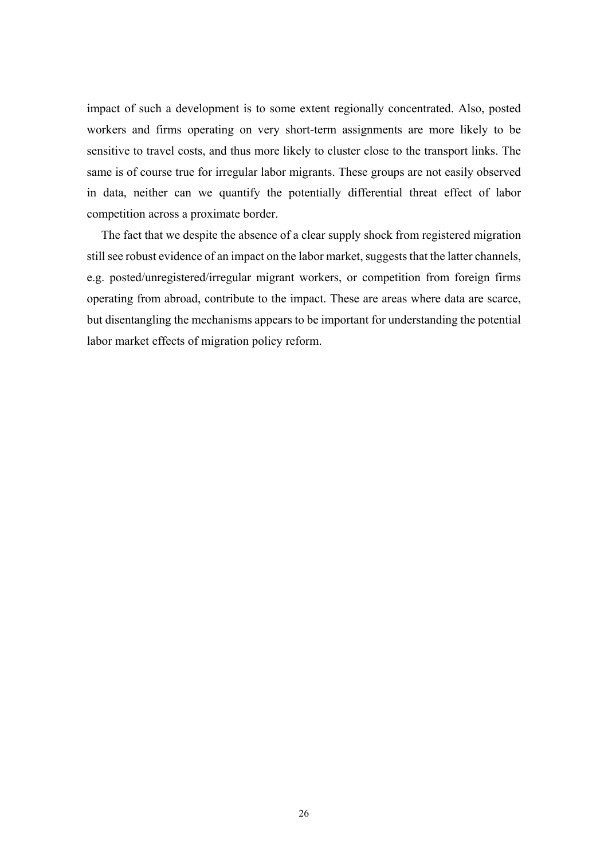impact of such a development is to some extent regionally concentrated. Also, posted workers and firms operating on very short-term assignments are more likely to be sensitive to travel costs, and thus more likely to cluster close to the transport links. The same is of course true for irregular labor migrants. These groups are not easily observed in data, neither can we quantify the potentially differential threat effect of labor competition across a proximate border.

The fact that we despite the absence of a clear supply shock from registered migration still see robust evidence of an impact on the labor market, suggests that the latter channels, e.g. posted/unregistered/irregular migrant workers, or competition from foreign firms operating from abroad, contribute to the impact. These are areas where data are scarce, but disentangling the mechanisms appears to be important for understanding the potential labor market effects of migration policy reform.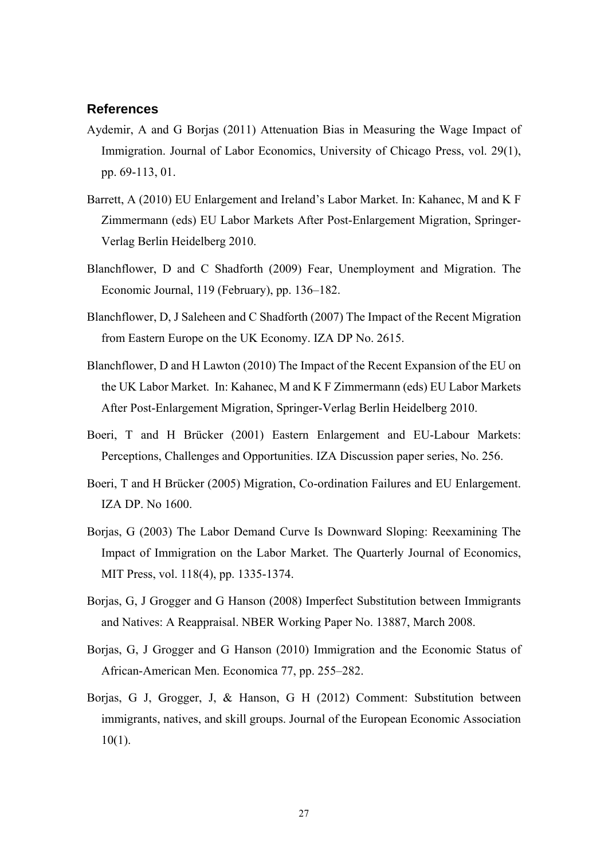### **References**

- Aydemir, A and G Borjas (2011) Attenuation Bias in Measuring the Wage Impact of Immigration. Journal of Labor Economics, University of Chicago Press, vol. 29(1), pp. 69-113, 01.
- Barrett, A (2010) EU Enlargement and Ireland's Labor Market. In: Kahanec, M and K F Zimmermann (eds) EU Labor Markets After Post-Enlargement Migration, Springer-Verlag Berlin Heidelberg 2010.
- Blanchflower, D and C Shadforth (2009) Fear, Unemployment and Migration. The Economic Journal, 119 (February), pp. 136–182.
- Blanchflower, D, J Saleheen and C Shadforth (2007) The Impact of the Recent Migration from Eastern Europe on the UK Economy. IZA DP No. 2615.
- Blanchflower, D and H Lawton (2010) The Impact of the Recent Expansion of the EU on the UK Labor Market. In: Kahanec, M and K F Zimmermann (eds) EU Labor Markets After Post-Enlargement Migration, Springer-Verlag Berlin Heidelberg 2010.
- Boeri, T and H Brücker (2001) Eastern Enlargement and EU-Labour Markets: Perceptions, Challenges and Opportunities. IZA Discussion paper series, No. 256.
- Boeri, T and H Brücker (2005) Migration, Co-ordination Failures and EU Enlargement. IZA DP. No 1600.
- Borjas, G (2003) The Labor Demand Curve Is Downward Sloping: Reexamining The Impact of Immigration on the Labor Market. The Quarterly Journal of Economics, MIT Press, vol. 118(4), pp. 1335-1374.
- Borjas, G, J Grogger and G Hanson (2008) Imperfect Substitution between Immigrants and Natives: A Reappraisal. NBER Working Paper No. 13887, March 2008.
- Borjas, G, J Grogger and G Hanson (2010) Immigration and the Economic Status of African-American Men. Economica 77, pp. 255–282.
- Borjas, G J, Grogger, J, & Hanson, G H (2012) Comment: Substitution between immigrants, natives, and skill groups. Journal of the European Economic Association  $10(1)$ .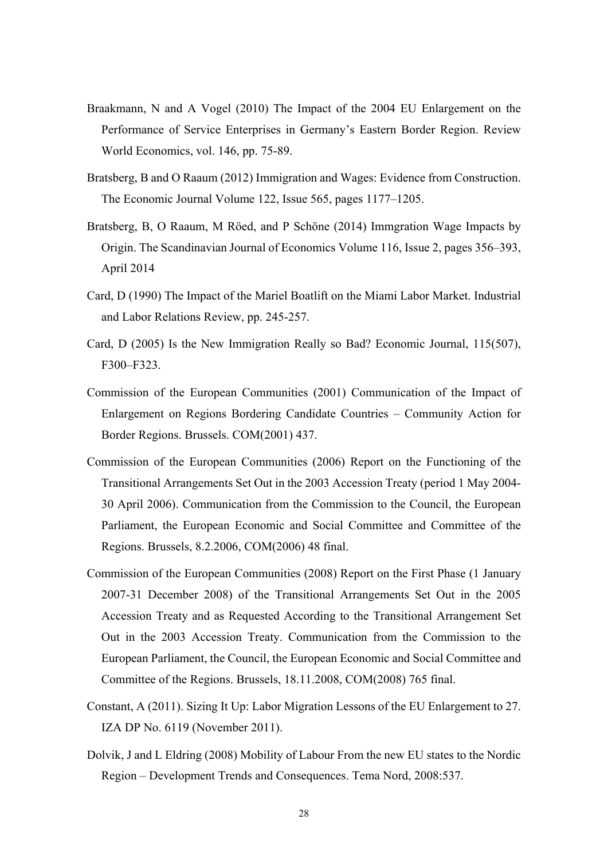- Braakmann, N and A Vogel (2010) The Impact of the 2004 EU Enlargement on the Performance of Service Enterprises in Germany's Eastern Border Region. Review World Economics, vol. 146, pp. 75-89.
- Bratsberg, B and O Raaum (2012) Immigration and Wages: Evidence from Construction. The Economic Journal Volume 122, Issue 565, pages 1177–1205.
- Bratsberg, B, O Raaum, M Röed, and P Schöne (2014) Immgration Wage Impacts by Origin. The Scandinavian Journal of Economics Volume 116, Issue 2, pages 356–393, April 2014
- Card, D (1990) The Impact of the Mariel Boatlift on the Miami Labor Market. Industrial and Labor Relations Review, pp. 245-257.
- Card, D (2005) Is the New Immigration Really so Bad? Economic Journal, 115(507), F300–F323.
- Commission of the European Communities (2001) Communication of the Impact of Enlargement on Regions Bordering Candidate Countries – Community Action for Border Regions. Brussels. COM(2001) 437.
- Commission of the European Communities (2006) Report on the Functioning of the Transitional Arrangements Set Out in the 2003 Accession Treaty (period 1 May 2004- 30 April 2006). Communication from the Commission to the Council, the European Parliament, the European Economic and Social Committee and Committee of the Regions. Brussels, 8.2.2006, COM(2006) 48 final.
- Commission of the European Communities (2008) Report on the First Phase (1 January 2007-31 December 2008) of the Transitional Arrangements Set Out in the 2005 Accession Treaty and as Requested According to the Transitional Arrangement Set Out in the 2003 Accession Treaty. Communication from the Commission to the European Parliament, the Council, the European Economic and Social Committee and Committee of the Regions. Brussels, 18.11.2008, COM(2008) 765 final.
- Constant, A (2011). Sizing It Up: Labor Migration Lessons of the EU Enlargement to 27. IZA DP No. 6119 (November 2011).
- Dolvik, J and L Eldring (2008) Mobility of Labour From the new EU states to the Nordic Region – Development Trends and Consequences. Tema Nord, 2008:537.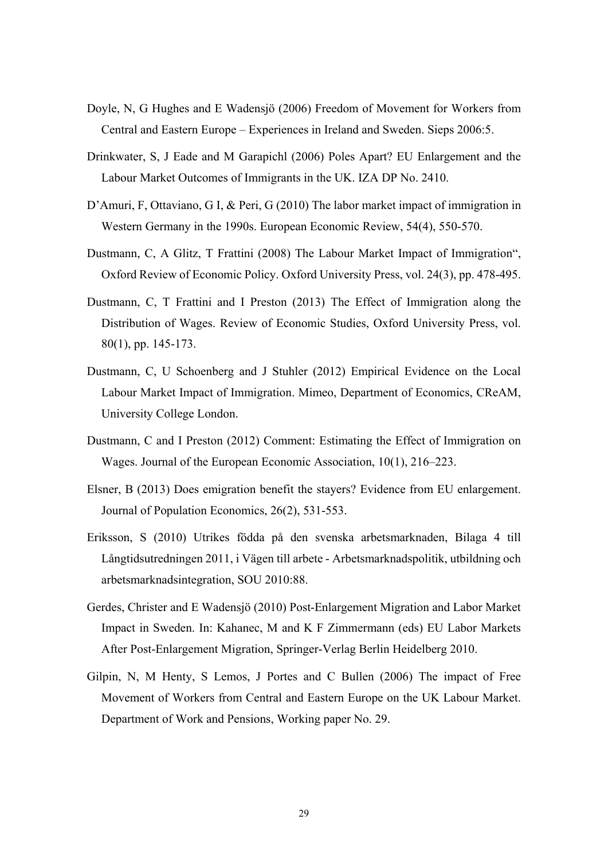- Doyle, N, G Hughes and E Wadensjö (2006) Freedom of Movement for Workers from Central and Eastern Europe – Experiences in Ireland and Sweden. Sieps 2006:5.
- Drinkwater, S, J Eade and M Garapichl (2006) Poles Apart? EU Enlargement and the Labour Market Outcomes of Immigrants in the UK. IZA DP No. 2410.
- D'Amuri, F, Ottaviano, G I, & Peri, G (2010) The labor market impact of immigration in Western Germany in the 1990s. European Economic Review, 54(4), 550-570.
- Dustmann, C, A Glitz, T Frattini (2008) The Labour Market Impact of Immigration", Oxford Review of Economic Policy. Oxford University Press, vol. 24(3), pp. 478-495.
- Dustmann, C, T Frattini and I Preston (2013) The Effect of Immigration along the Distribution of Wages. Review of Economic Studies, Oxford University Press, vol. 80(1), pp. 145-173.
- Dustmann, C, U Schoenberg and J Stuhler (2012) Empirical Evidence on the Local Labour Market Impact of Immigration. Mimeo, Department of Economics, CReAM, University College London.
- Dustmann, C and I Preston (2012) Comment: Estimating the Effect of Immigration on Wages. Journal of the European Economic Association, 10(1), 216–223.
- Elsner, B (2013) Does emigration benefit the stayers? Evidence from EU enlargement. Journal of Population Economics, 26(2), 531-553.
- Eriksson, S (2010) Utrikes födda på den svenska arbetsmarknaden, Bilaga 4 till Långtidsutredningen 2011, i Vägen till arbete - Arbetsmarknadspolitik, utbildning och arbetsmarknadsintegration, SOU 2010:88.
- Gerdes, Christer and E Wadensjö (2010) Post-Enlargement Migration and Labor Market Impact in Sweden. In: Kahanec, M and K F Zimmermann (eds) EU Labor Markets After Post-Enlargement Migration, Springer-Verlag Berlin Heidelberg 2010.
- Gilpin, N, M Henty, S Lemos, J Portes and C Bullen (2006) The impact of Free Movement of Workers from Central and Eastern Europe on the UK Labour Market. Department of Work and Pensions, Working paper No. 29.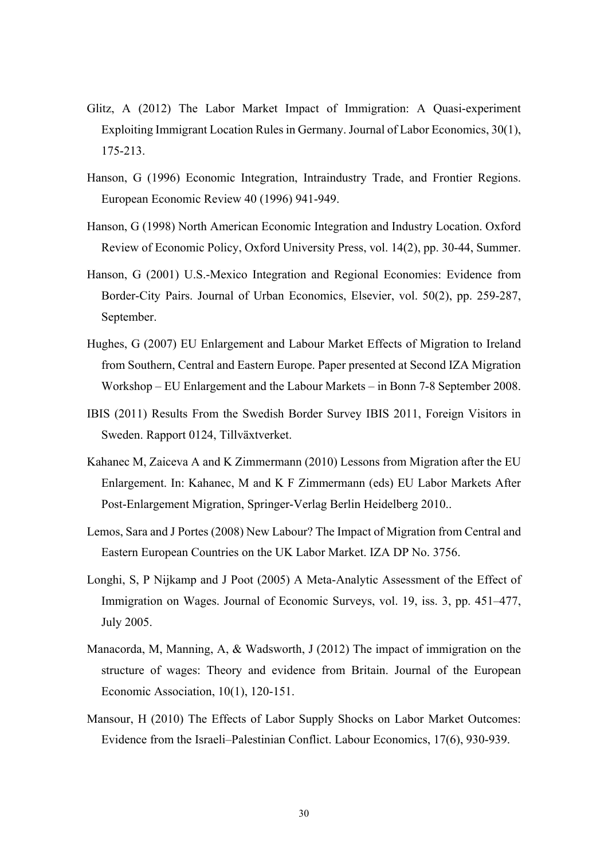- Glitz, A (2012) The Labor Market Impact of Immigration: A Quasi-experiment Exploiting Immigrant Location Rules in Germany. Journal of Labor Economics, 30(1), 175-213.
- Hanson, G (1996) Economic Integration, Intraindustry Trade, and Frontier Regions. European Economic Review 40 (1996) 941-949.
- Hanson, G (1998) North American Economic Integration and Industry Location. Oxford Review of Economic Policy, Oxford University Press, vol. 14(2), pp. 30-44, Summer.
- Hanson, G (2001) U.S.-Mexico Integration and Regional Economies: Evidence from Border-City Pairs. Journal of Urban Economics, Elsevier, vol. 50(2), pp. 259-287, September.
- Hughes, G (2007) EU Enlargement and Labour Market Effects of Migration to Ireland from Southern, Central and Eastern Europe. Paper presented at Second IZA Migration Workshop – EU Enlargement and the Labour Markets – in Bonn 7-8 September 2008.
- IBIS (2011) Results From the Swedish Border Survey IBIS 2011, Foreign Visitors in Sweden. Rapport 0124, Tillväxtverket.
- Kahanec M, Zaiceva A and K Zimmermann (2010) Lessons from Migration after the EU Enlargement. In: Kahanec, M and K F Zimmermann (eds) EU Labor Markets After Post-Enlargement Migration, Springer-Verlag Berlin Heidelberg 2010..
- Lemos, Sara and J Portes (2008) New Labour? The Impact of Migration from Central and Eastern European Countries on the UK Labor Market. IZA DP No. 3756.
- Longhi, S, P Nijkamp and J Poot (2005) A Meta-Analytic Assessment of the Effect of Immigration on Wages. Journal of Economic Surveys, vol. 19, iss. 3, pp. 451–477, July 2005.
- Manacorda, M, Manning, A, & Wadsworth, J (2012) The impact of immigration on the structure of wages: Theory and evidence from Britain. Journal of the European Economic Association, 10(1), 120-151.
- Mansour, H (2010) The Effects of Labor Supply Shocks on Labor Market Outcomes: Evidence from the Israeli–Palestinian Conflict. Labour Economics, 17(6), 930-939.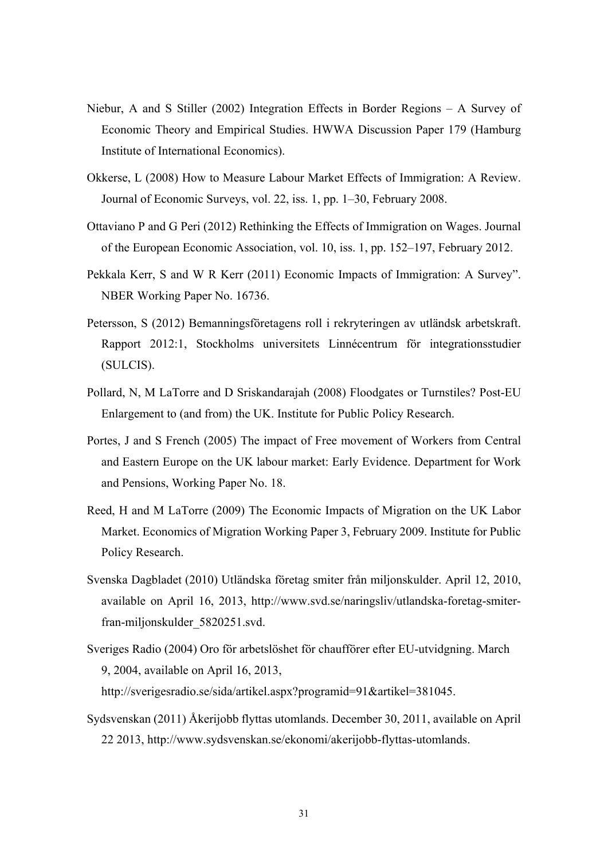- Niebur, A and S Stiller (2002) Integration Effects in Border Regions A Survey of Economic Theory and Empirical Studies. HWWA Discussion Paper 179 (Hamburg Institute of International Economics).
- Okkerse, L (2008) How to Measure Labour Market Effects of Immigration: A Review. Journal of Economic Surveys, vol. 22, iss. 1, pp. 1–30, February 2008.
- Ottaviano P and G Peri (2012) Rethinking the Effects of Immigration on Wages. Journal of the European Economic Association, vol. 10, iss. 1, pp. 152–197, February 2012.
- Pekkala Kerr, S and W R Kerr (2011) Economic Impacts of Immigration: A Survey". NBER Working Paper No. 16736.
- Petersson, S (2012) Bemanningsföretagens roll i rekryteringen av utländsk arbetskraft. Rapport 2012:1, Stockholms universitets Linnécentrum för integrationsstudier (SULCIS).
- Pollard, N, M LaTorre and D Sriskandarajah (2008) Floodgates or Turnstiles? Post-EU Enlargement to (and from) the UK. Institute for Public Policy Research.
- Portes, J and S French (2005) The impact of Free movement of Workers from Central and Eastern Europe on the UK labour market: Early Evidence. Department for Work and Pensions, Working Paper No. 18.
- Reed, H and M LaTorre (2009) The Economic Impacts of Migration on the UK Labor Market. Economics of Migration Working Paper 3, February 2009. Institute for Public Policy Research.
- Svenska Dagbladet (2010) Utländska företag smiter från miljonskulder. April 12, 2010, available on April 16, 2013, http://www.svd.se/naringsliv/utlandska-foretag-smiterfran-miljonskulder\_5820251.svd.
- Sveriges Radio (2004) Oro för arbetslöshet för chaufförer efter EU-utvidgning. March 9, 2004, available on April 16, 2013, http://sverigesradio.se/sida/artikel.aspx?programid=91&artikel=381045.
- Sydsvenskan (2011) Åkerijobb flyttas utomlands. December 30, 2011, available on April 22 2013, http://www.sydsvenskan.se/ekonomi/akerijobb-flyttas-utomlands.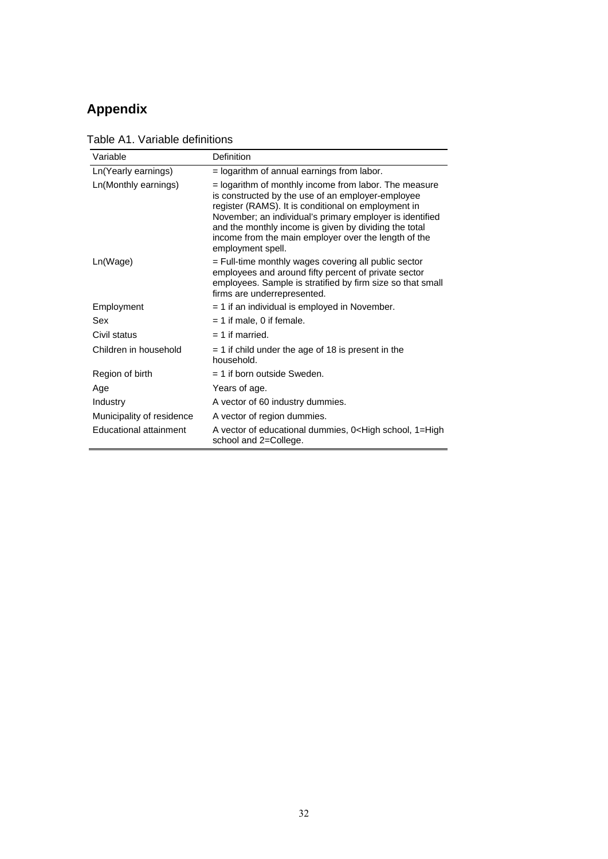## **Appendix**

| Variable                      | Definition                                                                                                                                                                                                                                                                                                                                                          |
|-------------------------------|---------------------------------------------------------------------------------------------------------------------------------------------------------------------------------------------------------------------------------------------------------------------------------------------------------------------------------------------------------------------|
| Ln(Yearly earnings)           | = logarithm of annual earnings from labor.                                                                                                                                                                                                                                                                                                                          |
| Ln(Monthly earnings)          | = logarithm of monthly income from labor. The measure<br>is constructed by the use of an employer-employee<br>register (RAMS). It is conditional on employment in<br>November; an individual's primary employer is identified<br>and the monthly income is given by dividing the total<br>income from the main employer over the length of the<br>employment spell. |
| Ln(Wage)                      | = Full-time monthly wages covering all public sector<br>employees and around fifty percent of private sector<br>employees. Sample is stratified by firm size so that small<br>firms are underrepresented.                                                                                                                                                           |
| Employment                    | $=$ 1 if an individual is employed in November.                                                                                                                                                                                                                                                                                                                     |
| Sex                           | $= 1$ if male, 0 if female.                                                                                                                                                                                                                                                                                                                                         |
| Civil status                  | $= 1$ if married.                                                                                                                                                                                                                                                                                                                                                   |
| Children in household         | $=$ 1 if child under the age of 18 is present in the<br>household.                                                                                                                                                                                                                                                                                                  |
| Region of birth               | $=$ 1 if born outside Sweden.                                                                                                                                                                                                                                                                                                                                       |
| Age                           | Years of age.                                                                                                                                                                                                                                                                                                                                                       |
| Industry                      | A vector of 60 industry dummies.                                                                                                                                                                                                                                                                                                                                    |
| Municipality of residence     | A vector of region dummies.                                                                                                                                                                                                                                                                                                                                         |
| <b>Educational attainment</b> | A vector of educational dummies, 0 <high 1="High&lt;br" school,="">school and 2=College.</high>                                                                                                                                                                                                                                                                     |

Table A1. Variable definitions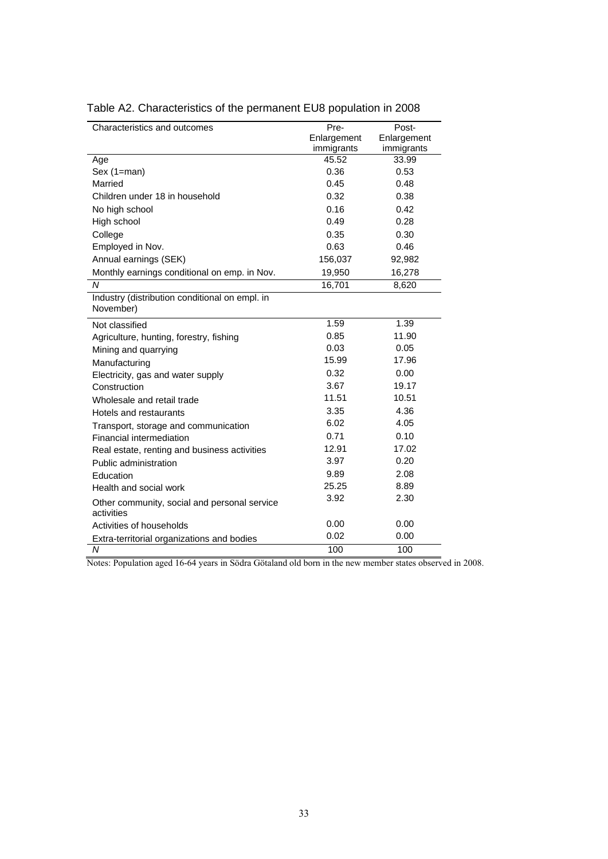| Characteristics and outcomes                                | Pre-        | Post-       |
|-------------------------------------------------------------|-------------|-------------|
|                                                             | Enlargement | Enlargement |
|                                                             | immigrants  | immigrants  |
| Age                                                         | 45.52       | 33.99       |
| Sex (1=man)                                                 | 0.36        | 0.53        |
| Married                                                     | 0.45        | 0.48        |
| Children under 18 in household                              | 0.32        | 0.38        |
| No high school                                              | 0.16        | 0.42        |
| High school                                                 | 0.49        | 0.28        |
| College                                                     | 0.35        | 0.30        |
| Employed in Nov.                                            | 0.63        | 0.46        |
| Annual earnings (SEK)                                       | 156,037     | 92,982      |
| Monthly earnings conditional on emp. in Nov.                | 19,950      | 16,278      |
| N                                                           | 16,701      | 8,620       |
| Industry (distribution conditional on empl. in<br>November) |             |             |
| Not classified                                              | 1.59        | 1.39        |
| Agriculture, hunting, forestry, fishing                     | 0.85        | 11.90       |
| Mining and quarrying                                        | 0.03        | 0.05        |
| Manufacturing                                               | 15.99       | 17.96       |
| Electricity, gas and water supply                           | 0.32        | 0.00        |
| Construction                                                | 3.67        | 19.17       |
| Wholesale and retail trade                                  | 11.51       | 10.51       |
| Hotels and restaurants                                      | 3.35        | 4.36        |
| Transport, storage and communication                        | 6.02        | 4.05        |
| Financial intermediation                                    | 0.71        | 0.10        |
| Real estate, renting and business activities                | 12.91       | 17.02       |
| Public administration                                       | 3.97        | 0.20        |
| Education                                                   | 9.89        | 2.08        |
| Health and social work                                      | 25.25       | 8.89        |
| Other community, social and personal service<br>activities  | 3.92        | 2.30        |
| Activities of households                                    | 0.00        | 0.00        |
| Extra-territorial organizations and bodies                  | 0.02        | 0.00        |
| N                                                           | 100         | 100         |

## Table A2. Characteristics of the permanent EU8 population in 2008

Notes: Population aged 16-64 years in Södra Götaland old born in the new member states observed in 2008.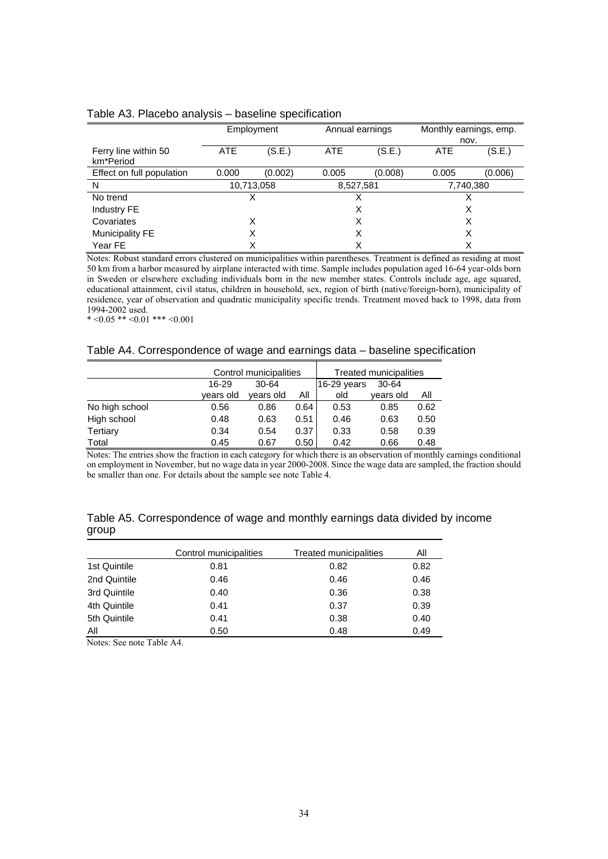| Table A3. Placebo analysis - baseline specification |  |  |  |  |  |
|-----------------------------------------------------|--|--|--|--|--|
|-----------------------------------------------------|--|--|--|--|--|

|                           | Employment |         |           | Annual earnings |            | Monthly earnings, emp. |
|---------------------------|------------|---------|-----------|-----------------|------------|------------------------|
|                           |            |         |           |                 | nov.       |                        |
| Ferry line within 50      | <b>ATE</b> | (S.E.)  | ATE       | (S.E.)          | <b>ATE</b> | (S.E.)                 |
| km*Period                 |            |         |           |                 |            |                        |
| Effect on full population | 0.000      | (0.002) | 0.005     | (0.008)         | 0.005      | (0.006)                |
| N                         | 10,713,058 |         | 8,527,581 |                 | 7,740,380  |                        |
| No trend                  | х          |         | х         |                 |            |                        |
| Industry FE               |            |         |           | X               |            | X                      |
| Covariates                | X          |         | Х         |                 | х          |                        |
| <b>Municipality FE</b>    | X          |         | X         |                 | X          |                        |
| Year FE                   |            | X       |           |                 |            |                        |

Notes: Robust standard errors clustered on municipalities within parentheses. Treatment is defined as residing at most 50 km from a harbor measured by airplane interacted with time. Sample includes population aged 16-64 year-olds born in Sweden or elsewhere excluding individuals born in the new member states. Controls include age, age squared, educational attainment, civil status, children in household, sex, region of birth (native/foreign-born), municipality of residence, year of observation and quadratic municipality specific trends. Treatment moved back to 1998, data from 1994-2002 used.

\*  $0.05$  \*\*  $0.01$  \*\*\*  $0.001$ 

#### Table A4. Correspondence of wage and earnings data – baseline specification

|                |           | Control municipalities | Treated municipalities |               |           |      |
|----------------|-----------|------------------------|------------------------|---------------|-----------|------|
|                | $16-29$   | $30 - 64$              |                        | $16-29$ years | 30-64     |      |
|                | years old | years old              | ΑIΙ                    | old           | years old | All  |
| No high school | 0.56      | 0.86                   | 0.64                   | 0.53          | 0.85      | 0.62 |
| High school    | 0.48      | 0.63                   | 0.51                   | 0.46          | 0.63      | 0.50 |
| Tertiary       | 0.34      | 0.54                   | 0.37                   | 0.33          | 0.58      | 0.39 |
| Total          | 0.45      | 0.67                   | 0.50                   | 0.42          | 0.66      | 0.48 |

Notes: The entries show the fraction in each category for which there is an observation of monthly earnings conditional on employment in November, but no wage data in year 2000-2008. Since the wage data are sampled, the fraction should be smaller than one. For details about the sample see note Table 4.

| Table A5. Correspondence of wage and monthly earnings data divided by income |  |  |
|------------------------------------------------------------------------------|--|--|
| group                                                                        |  |  |

|              | Control municipalities | Treated municipalities | Αll  |
|--------------|------------------------|------------------------|------|
| 1st Quintile | 0.81                   | 0.82                   | 0.82 |
| 2nd Quintile | 0.46                   | 0.46                   | 0.46 |
| 3rd Quintile | 0.40                   | 0.36                   | 0.38 |
| 4th Quintile | 0.41                   | 0.37                   | 0.39 |
| 5th Quintile | 0.41                   | 0.38                   | 0.40 |
| All          | 0.50                   | 0.48                   | 0.49 |

Notes: See note Table A4.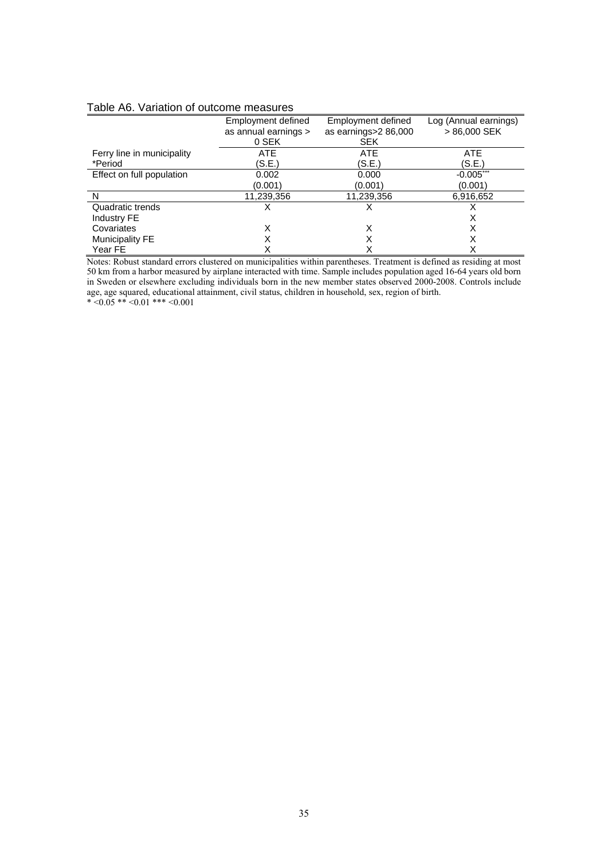#### Table A6. Variation of outcome measures

|                            | Employment defined<br>as annual earnings > | Employment defined<br>as earnings>2 86,000 | Log (Annual earnings)<br>> 86,000 SEK |
|----------------------------|--------------------------------------------|--------------------------------------------|---------------------------------------|
|                            | 0 SEK                                      | <b>SEK</b>                                 |                                       |
| Ferry line in municipality | <b>ATE</b>                                 | <b>ATE</b>                                 | <b>ATE</b>                            |
| *Period                    | (S.E.)                                     | (S.E.)                                     | (S.E.)                                |
| Effect on full population  | 0.002                                      | 0.000                                      | $-0.005***$                           |
|                            | (0.001)                                    | (0.001)                                    | (0.001)                               |
| N                          | 11,239,356                                 | 11,239,356                                 | 6,916,652                             |
| Quadratic trends           |                                            |                                            |                                       |
| Industry FE                |                                            |                                            | х                                     |
| Covariates                 | х                                          | X                                          | х                                     |
| <b>Municipality FE</b>     |                                            | х                                          | х                                     |
| Year FE                    |                                            | Χ                                          | X                                     |

Notes: Robust standard errors clustered on municipalities within parentheses. Treatment is defined as residing at most 50 km from a harbor measured by airplane interacted with time. Sample includes population aged 16-64 years old born in Sweden or elsewhere excluding individuals born in the new member states observed 2000-2008. Controls include age, age squared, educational attainment, civil status, children in household, sex, region of birth.  $* < 0.05$  \*\*  $< 0.01$  \*\*\*  $< 0.001$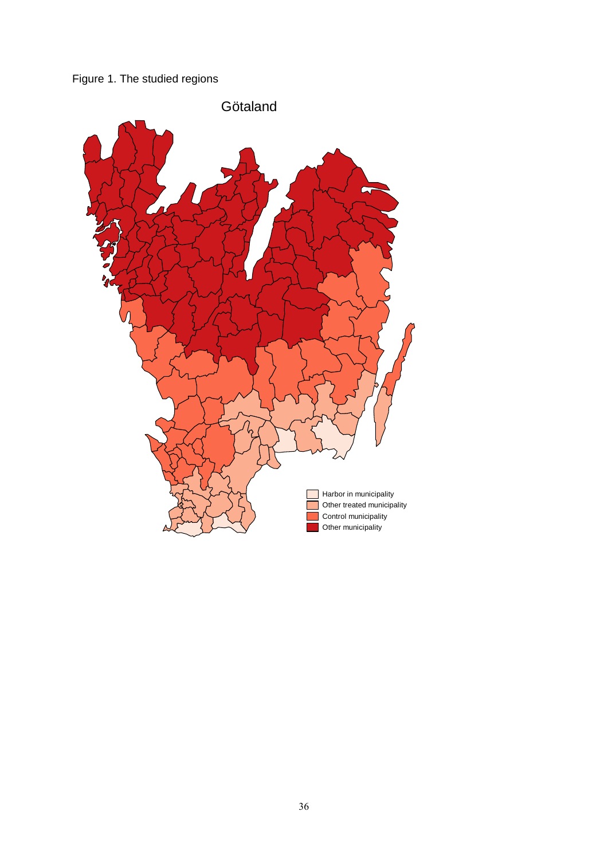

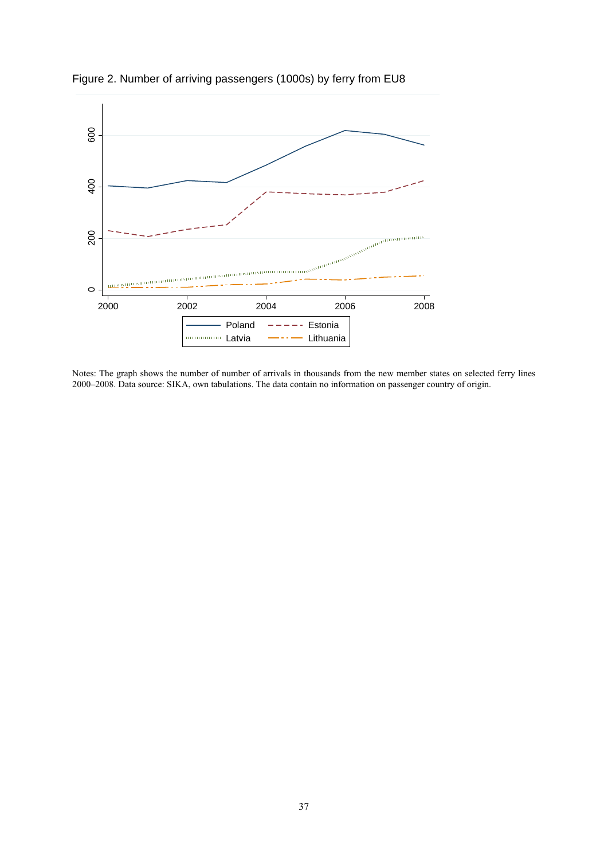

Figure 2. Number of arriving passengers (1000s) by ferry from EU8

Notes: The graph shows the number of number of arrivals in thousands from the new member states on selected ferry lines 2000–2008. Data source: SIKA, own tabulations. The data contain no information on passenger country of origin.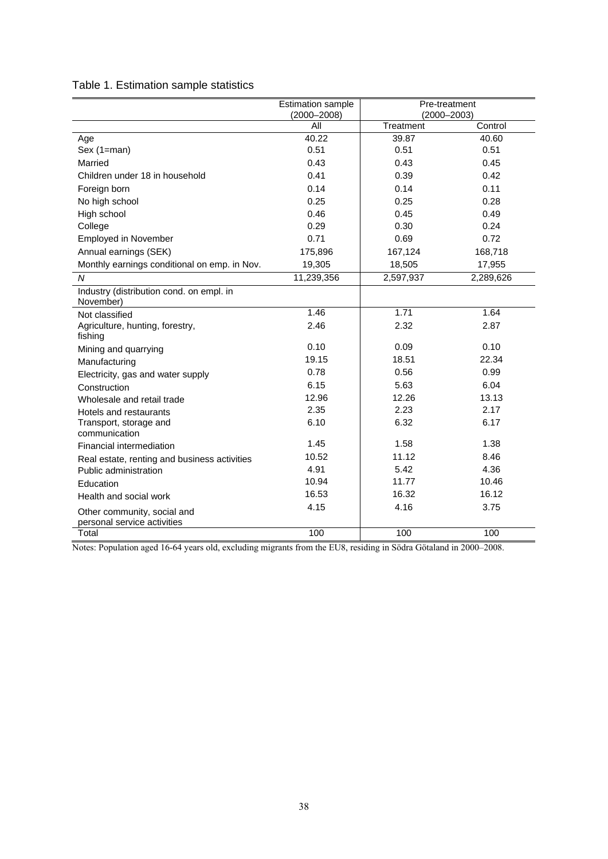Table 1. Estimation sample statistics

|                                                            | <b>Estimation sample</b><br>$(2000 - 2008)$ | $(2000 - 2003)$ | Pre-treatment |
|------------------------------------------------------------|---------------------------------------------|-----------------|---------------|
|                                                            | All                                         | Treatment       | Control       |
| Age                                                        | 40.22                                       | 39.87           | 40.60         |
| Sex (1=man)                                                | 0.51                                        | 0.51            | 0.51          |
| Married                                                    | 0.43                                        | 0.43            | 0.45          |
| Children under 18 in household                             | 0.41                                        | 0.39            | 0.42          |
| Foreign born                                               | 0.14                                        | 0.14            | 0.11          |
| No high school                                             | 0.25                                        | 0.25            | 0.28          |
| High school                                                | 0.46                                        | 0.45            | 0.49          |
| College                                                    | 0.29                                        | 0.30            | 0.24          |
| Employed in November                                       | 0.71                                        | 0.69            | 0.72          |
| Annual earnings (SEK)                                      | 175,896                                     | 167,124         | 168,718       |
| Monthly earnings conditional on emp. in Nov.               | 19,305                                      | 18,505          | 17,955        |
| $\overline{N}$                                             | 11,239,356                                  | 2,597,937       | 2,289,626     |
| Industry (distribution cond. on empl. in<br>November)      |                                             |                 |               |
| Not classified                                             | 1.46                                        | 1.71            | 1.64          |
| Agriculture, hunting, forestry,<br>fishing                 | 2.46                                        | 2.32            | 2.87          |
| Mining and quarrying                                       | 0.10                                        | 0.09            | 0.10          |
| Manufacturing                                              | 19.15                                       | 18.51           | 22.34         |
| Electricity, gas and water supply                          | 0.78                                        | 0.56            | 0.99          |
| Construction                                               | 6.15                                        | 5.63            | 6.04          |
| Wholesale and retail trade                                 | 12.96                                       | 12.26           | 13.13         |
| Hotels and restaurants                                     | 2.35                                        | 2.23            | 2.17          |
| Transport, storage and<br>communication                    | 6.10                                        | 6.32            | 6.17          |
| Financial intermediation                                   | 1.45                                        | 1.58            | 1.38          |
| Real estate, renting and business activities               | 10.52                                       | 11.12           | 8.46          |
| Public administration                                      | 4.91                                        | 5.42            | 4.36          |
| Education                                                  | 10.94                                       | 11.77           | 10.46         |
| Health and social work                                     | 16.53                                       | 16.32           | 16.12         |
| Other community, social and<br>personal service activities | 4.15                                        | 4.16            | 3.75          |
| Total                                                      | 100                                         | 100             | 100           |

Notes: Population aged 16-64 years old, excluding migrants from the EU8, residing in Södra Götaland in 2000–2008.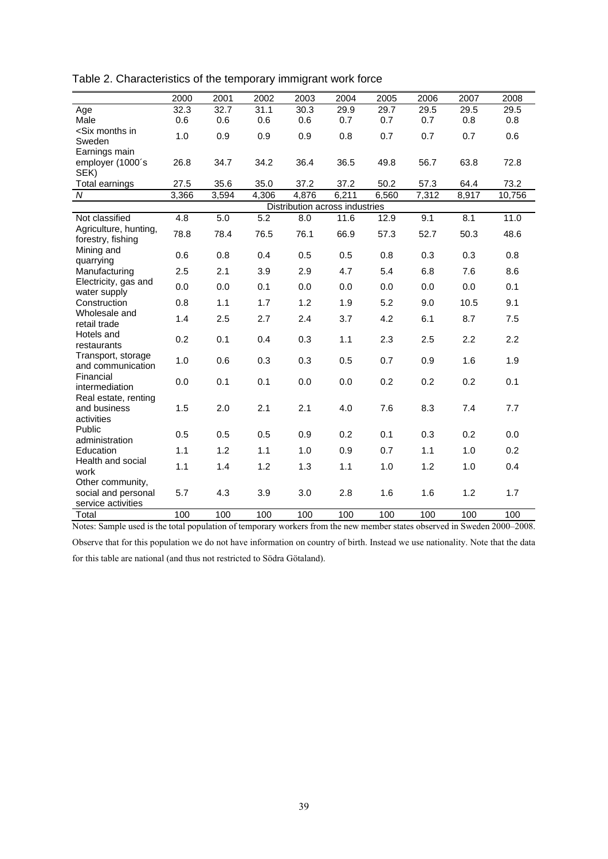|                                                                                                                                                | 2000  | 2001  | 2002  | 2003                           | 2004  | 2005  | 2006  | 2007  | 2008   |
|------------------------------------------------------------------------------------------------------------------------------------------------|-------|-------|-------|--------------------------------|-------|-------|-------|-------|--------|
| Age                                                                                                                                            | 32.3  | 32.7  | 31.1  | 30.3                           | 29.9  | 29.7  | 29.5  | 29.5  | 29.5   |
| Male                                                                                                                                           | 0.6   | 0.6   | 0.6   | 0.6                            | 0.7   | 0.7   | 0.7   | 0.8   | 0.8    |
| <six in<="" months="" td=""><td>1.0</td><td>0.9</td><td>0.9</td><td>0.9</td><td>0.8</td><td>0.7</td><td>0.7</td><td>0.7</td><td>0.6</td></six> | 1.0   | 0.9   | 0.9   | 0.9                            | 0.8   | 0.7   | 0.7   | 0.7   | 0.6    |
| Sweden                                                                                                                                         |       |       |       |                                |       |       |       |       |        |
| Earnings main                                                                                                                                  |       |       |       | 36.4                           |       |       | 56.7  |       |        |
| employer (1000's<br>SEK)                                                                                                                       | 26.8  | 34.7  | 34.2  |                                | 36.5  | 49.8  |       | 63.8  | 72.8   |
| Total earnings                                                                                                                                 | 27.5  | 35.6  | 35.0  | 37.2                           | 37.2  | 50.2  | 57.3  | 64.4  | 73.2   |
| ${\cal N}$                                                                                                                                     | 3,366 | 3,594 | 4,306 | 4,876                          | 6,211 | 6,560 | 7,312 | 8,917 | 10,756 |
|                                                                                                                                                |       |       |       | Distribution across industries |       |       |       |       |        |
| Not classified                                                                                                                                 | 4.8   | 5.0   | 5.2   | 8.0                            | 11.6  | 12.9  | 9.1   | 8.1   | 11.0   |
| Agriculture, hunting,                                                                                                                          | 78.8  | 78.4  | 76.5  | 76.1                           | 66.9  | 57.3  | 52.7  | 50.3  | 48.6   |
| forestry, fishing                                                                                                                              |       |       |       |                                |       |       |       |       |        |
| Mining and<br>quarrying                                                                                                                        | 0.6   | 0.8   | 0.4   | 0.5                            | 0.5   | 0.8   | 0.3   | 0.3   | 0.8    |
| Manufacturing                                                                                                                                  | 2.5   | 2.1   | 3.9   | 2.9                            | 4.7   | 5.4   | 6.8   | 7.6   | 8.6    |
| Electricity, gas and                                                                                                                           | 0.0   | 0.0   | 0.1   | 0.0                            | 0.0   | 0.0   | 0.0   | 0.0   | 0.1    |
| water supply                                                                                                                                   |       |       |       |                                |       |       |       |       |        |
| Construction                                                                                                                                   | 0.8   | 1.1   | 1.7   | 1.2                            | 1.9   | 5.2   | 9.0   | 10.5  | 9.1    |
| Wholesale and<br>retail trade                                                                                                                  | 1.4   | 2.5   | 2.7   | 2.4                            | 3.7   | 4.2   | 6.1   | 8.7   | 7.5    |
| Hotels and                                                                                                                                     | 0.2   | 0.1   | 0.4   | 0.3                            | 1.1   | 2.3   | 2.5   | 2.2   | 2.2    |
| restaurants                                                                                                                                    |       |       |       |                                |       |       |       |       |        |
| Transport, storage<br>and communication                                                                                                        | 1.0   | 0.6   | 0.3   | 0.3                            | 0.5   | 0.7   | 0.9   | 1.6   | 1.9    |
| Financial                                                                                                                                      |       |       |       |                                |       |       |       |       |        |
| intermediation                                                                                                                                 | 0.0   | 0.1   | 0.1   | 0.0                            | 0.0   | 0.2   | 0.2   | 0.2   | 0.1    |
| Real estate, renting                                                                                                                           |       |       |       |                                |       |       |       |       |        |
| and business                                                                                                                                   | 1.5   | 2.0   | 2.1   | 2.1                            | 4.0   | 7.6   | 8.3   | 7.4   | 7.7    |
| activities                                                                                                                                     |       |       |       |                                |       |       |       |       |        |
| Public                                                                                                                                         | 0.5   | 0.5   | 0.5   | 0.9                            | 0.2   | 0.1   | 0.3   | 0.2   | 0.0    |
| administration<br>Education                                                                                                                    | 1.1   | 1.2   | 1.1   | 1.0                            | 0.9   | 0.7   | 1.1   | 1.0   | 0.2    |
| Health and social                                                                                                                              |       |       |       |                                |       |       |       |       |        |
| work                                                                                                                                           | 1.1   | 1.4   | 1.2   | 1.3                            | 1.1   | 1.0   | 1.2   | 1.0   | 0.4    |
| Other community,                                                                                                                               |       |       |       |                                |       |       |       |       |        |
| social and personal                                                                                                                            | 5.7   | 4.3   | 3.9   | 3.0                            | 2.8   | 1.6   | 1.6   | 1.2   | 1.7    |
| service activities                                                                                                                             |       |       |       |                                |       |       |       |       |        |
| Total                                                                                                                                          | 100   | 100   | 100   | 100                            | 100   | 100   | 100   | 100   | 100    |

Table 2. Characteristics of the temporary immigrant work force

Notes: Sample used is the total population of temporary workers from the new member states observed in Sweden 2000–2008.

Observe that for this population we do not have information on country of birth. Instead we use nationality. Note that the data for this table are national (and thus not restricted to Södra Götaland).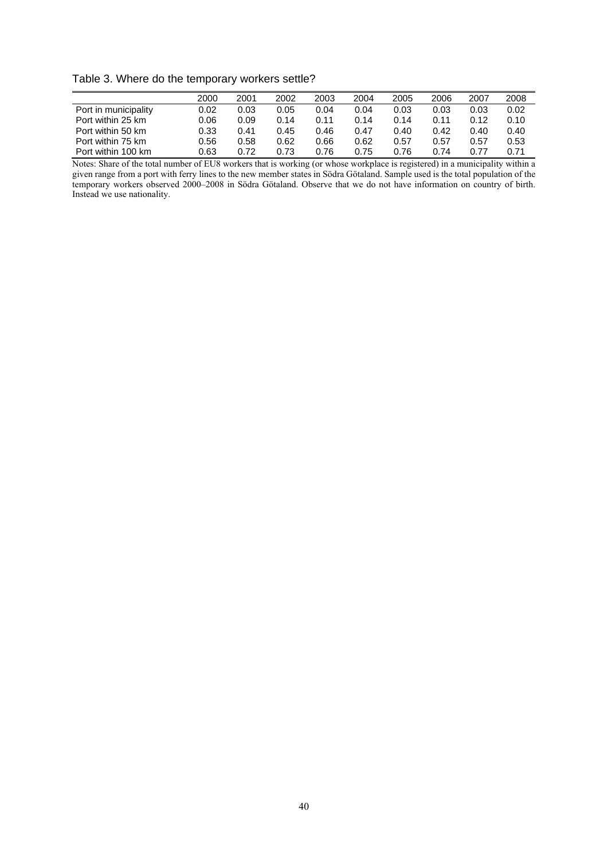Table 3. Where do the temporary workers settle?

|                      | 2000 | 2001 | 2002 | 2003 | 2004 | 2005 | 2006 | 2007 | 2008 |
|----------------------|------|------|------|------|------|------|------|------|------|
| Port in municipality | 0.02 | 0.03 | 0.05 | 0.04 | 0.04 | 0.03 | 0.03 | 0.03 | 0.02 |
| Port within 25 km    | 0.06 | 0.09 | 0.14 | 0.11 | 0.14 | 0.14 | 0.11 | 0.12 | 0.10 |
| Port within 50 km    | 0.33 | 0.41 | 0.45 | 0.46 | 0.47 | 0.40 | 0.42 | 0.40 | 0.40 |
| Port within 75 km    | 0.56 | 0.58 | 0.62 | 0.66 | 0.62 | 0.57 | 0.57 | 0.57 | 0.53 |
| Port within 100 km   | 0.63 | 0.72 | 0.73 | 0.76 | 0.75 | 0.76 | 0.74 | 0.77 | 0.71 |

Notes: Share of the total number of EU8 workers that is working (or whose workplace is registered) in a municipality within a given range from a port with ferry lines to the new member states in Södra Götaland. Sample used is the total population of the temporary workers observed 2000–2008 in Södra Götaland. Observe that we do not have information on country of birth. Instead we use nationality.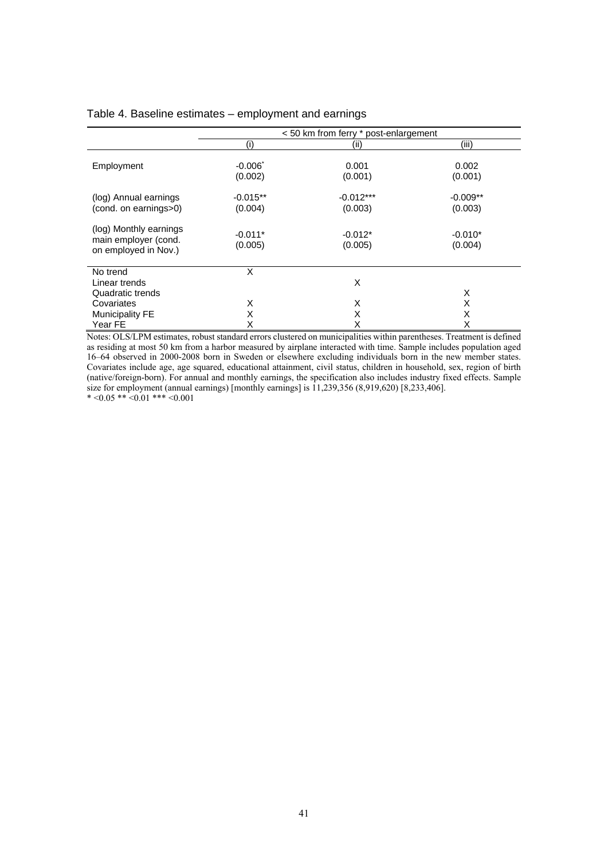|  | Table 4. Baseline estimates – employment and earnings |  |  |  |
|--|-------------------------------------------------------|--|--|--|
|--|-------------------------------------------------------|--|--|--|

|                                                                        | < 50 km from ferry * post-enlargement |                        |                       |  |  |
|------------------------------------------------------------------------|---------------------------------------|------------------------|-----------------------|--|--|
|                                                                        | (۱)                                   | (ii)                   | (iii)                 |  |  |
| Employment                                                             | $-0.006$ <sup>*</sup><br>(0.002)      | 0.001<br>(0.001)       | 0.002<br>(0.001)      |  |  |
| (log) Annual earnings<br>(cond. on earnings>0)                         | $-0.015**$<br>(0.004)                 | $-0.012***$<br>(0.003) | $-0.009**$<br>(0.003) |  |  |
| (log) Monthly earnings<br>main employer (cond.<br>on employed in Nov.) | $-0.011*$<br>(0.005)                  | $-0.012*$<br>(0.005)   | $-0.010*$<br>(0.004)  |  |  |
| No trend<br>Linear trends                                              | X                                     | X                      |                       |  |  |
| Quadratic trends                                                       |                                       |                        | X                     |  |  |
| Covariates                                                             | X                                     | X                      | X                     |  |  |
| <b>Municipality FE</b>                                                 | X                                     | X                      | X                     |  |  |
| Year FE                                                                | X                                     | X                      | X                     |  |  |

Notes: OLS/LPM estimates, robust standard errors clustered on municipalities within parentheses. Treatment is defined as residing at most 50 km from a harbor measured by airplane interacted with time. Sample includes population aged 16–64 observed in 2000-2008 born in Sweden or elsewhere excluding individuals born in the new member states. Covariates include age, age squared, educational attainment, civil status, children in household, sex, region of birth (native/foreign-born). For annual and monthly earnings, the specification also includes industry fixed effects. Sample size for employment (annual earnings) [monthly earnings] is 11,239,356 (8,919,620) [8,233,406].  $* < 0.05$  \*\*  $< 0.01$  \*\*\*  $< 0.001$ 

41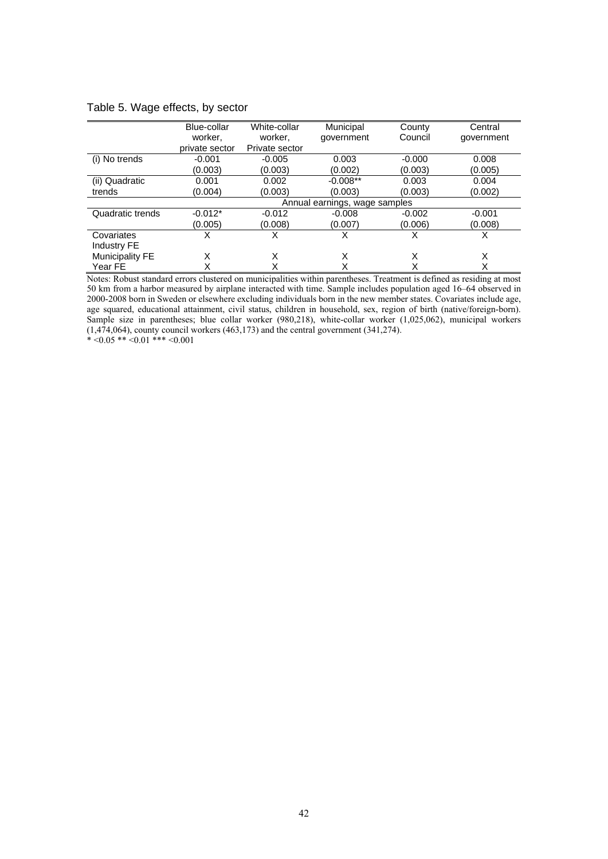|                        | Blue-collar                   | White-collar   | Municipal  | County   | Central    |  |  |
|------------------------|-------------------------------|----------------|------------|----------|------------|--|--|
|                        | worker.                       | worker.        | government | Council  | government |  |  |
|                        | private sector                | Private sector |            |          |            |  |  |
| (i) No trends          | $-0.001$                      | $-0.005$       | 0.003      | $-0.000$ | 0.008      |  |  |
|                        | (0.003)                       | (0.003)        | (0.002)    | (0.003)  | (0.005)    |  |  |
| (ii) Quadratic         | 0.001                         | 0.002          | $-0.008**$ | 0.003    | 0.004      |  |  |
| trends                 | (0.004)                       | (0.003)        | (0.003)    | (0.003)  | (0.002)    |  |  |
|                        | Annual earnings, wage samples |                |            |          |            |  |  |
| Quadratic trends       | $-0.012*$                     | $-0.012$       | $-0.008$   | $-0.002$ | $-0.001$   |  |  |
|                        | (0.005)                       | (0.008)        | (0.007)    | (0.006)  | (0.008)    |  |  |
| Covariates             | х                             | X              | X          | X        | X          |  |  |
| Industry FE            |                               |                |            |          |            |  |  |
| <b>Municipality FE</b> | X                             | X              | X          | X        | X          |  |  |
| Year FE                |                               | Χ              | Χ          | Χ        | X          |  |  |

#### Table 5. Wage effects, by sector

Notes: Robust standard errors clustered on municipalities within parentheses. Treatment is defined as residing at most 50 km from a harbor measured by airplane interacted with time. Sample includes population aged 16–64 observed in 2000-2008 born in Sweden or elsewhere excluding individuals born in the new member states. Covariates include age, age squared, educational attainment, civil status, children in household, sex, region of birth (native/foreign-born). Sample size in parentheses; blue collar worker (980,218), white-collar worker (1,025,062), municipal workers (1,474,064), county council workers (463,173) and the central government (341,274).  $* < 0.05$  \*\*  $< 0.01$  \*\*\*  $< 0.001$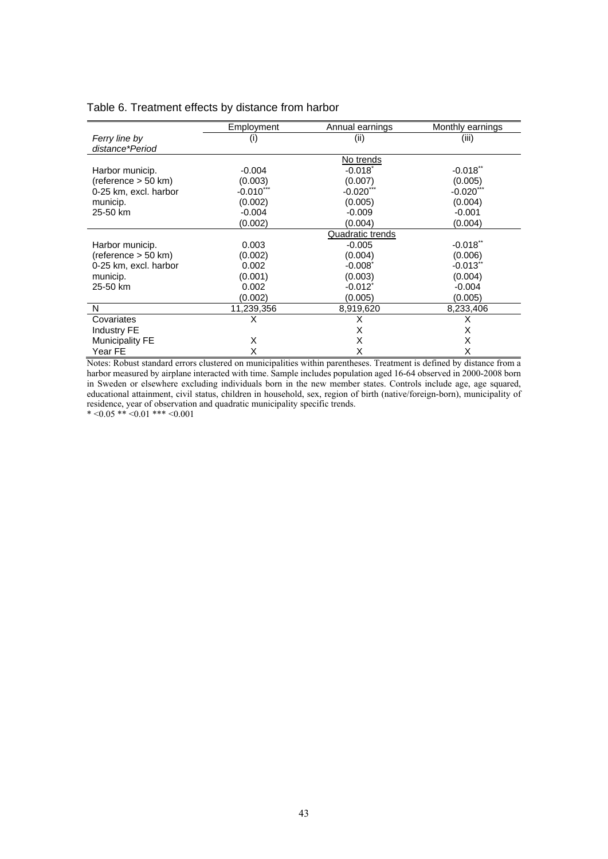|                                  | Employment | Annual earnings | Monthly ea |
|----------------------------------|------------|-----------------|------------|
| Ferry line by<br>distance*Period |            | (ii             | (iii)      |
|                                  |            | No trends       |            |

### Table 6. Treatment effects by distance from harbor

|                        |             | טשווטי טיי            |                        |
|------------------------|-------------|-----------------------|------------------------|
| Harbor municip.        | $-0.004$    | $-0.018$ <sup>*</sup> | $-0.018$ **            |
| (reference > 50 km)    | (0.003)     | (0.007)               | (0.005)                |
| 0-25 km, excl. harbor  | $-0.010***$ | $-0.020$ ***          | $-0.020***$            |
| municip.               | (0.002)     | (0.005)               | (0.004)                |
| 25-50 km               | $-0.004$    | $-0.009$              | $-0.001$               |
|                        | (0.002)     | (0.004)               | (0.004)                |
|                        |             | Quadratic trends      |                        |
| Harbor municip.        | 0.003       | $-0.005$              | $-0.018$ <sup>**</sup> |
| (reference > 50 km)    | (0.002)     | (0.004)               | (0.006)                |
| 0-25 km, excl. harbor  | 0.002       | $-0.008$ <sup>*</sup> | $-0.013$ **            |
| municip.               | (0.001)     | (0.003)               | (0.004)                |
| 25-50 km               | 0.002       | $-0.012$ <sup>*</sup> | $-0.004$               |
|                        | (0.002)     | (0.005)               | (0.005)                |
| N                      | 11,239,356  | 8,919,620             | 8,233,406              |
| Covariates             | х           | X                     | X                      |
| <b>Industry FE</b>     |             | X                     | X                      |
| <b>Municipality FE</b> | X           | X                     | X                      |
| Year FE                | X           | X                     | X                      |

Monthly earnings

Notes: Robust standard errors clustered on municipalities within parentheses. Treatment is defined by distance from a harbor measured by airplane interacted with time. Sample includes population aged 16-64 observed in 2000-2008 born in Sweden or elsewhere excluding individuals born in the new member states. Controls include age, age squared, educational attainment, civil status, children in household, sex, region of birth (native/foreign-born), municipality of residence, year of observation and quadratic municipality specific trends.

\*  $<0.05$  \*\*  $<0.01$  \*\*\*  $<0.001$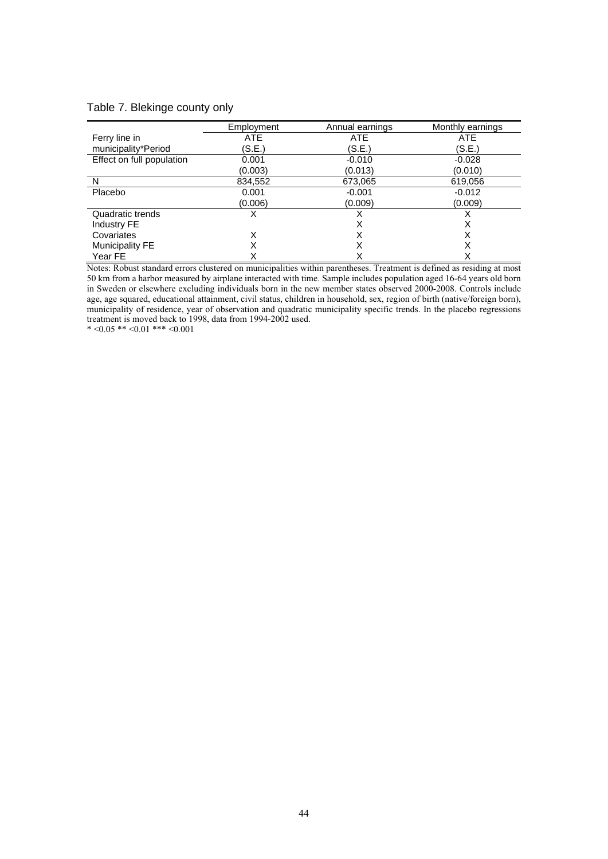#### Table 7. Blekinge county only

|                           | Employment | Annual earnings | Monthly earnings |
|---------------------------|------------|-----------------|------------------|
| Ferry line in             | <b>ATE</b> | <b>ATE</b>      | ATE              |
| municipality*Period       | (S.E.)     | (S.E.)          | (S.E.)           |
| Effect on full population | 0.001      | $-0.010$        | $-0.028$         |
|                           | (0.003)    | (0.013)         | (0.010)          |
| N                         | 834,552    | 673,065         | 619,056          |
| Placebo                   | 0.001      | $-0.001$        | $-0.012$         |
|                           | (0.006)    | (0.009)         | (0.009)          |
| Quadratic trends          |            |                 | х                |
| Industry FE               |            | х               | X                |
| Covariates                | X          |                 | х                |
| Municipality FE           | Χ          | X               | X                |
| Year FE                   |            |                 |                  |

Notes: Robust standard errors clustered on municipalities within parentheses. Treatment is defined as residing at most 50 km from a harbor measured by airplane interacted with time. Sample includes population aged 16-64 years old born in Sweden or elsewhere excluding individuals born in the new member states observed 2000-2008. Controls include age, age squared, educational attainment, civil status, children in household, sex, region of birth (native/foreign born), municipality of residence, year of observation and quadratic municipality specific trends. In the placebo regressions treatment is moved back to 1998, data from 1994-2002 used.

\*  $<0.05$  \*\*  $<0.01$  \*\*\*  $<0.001$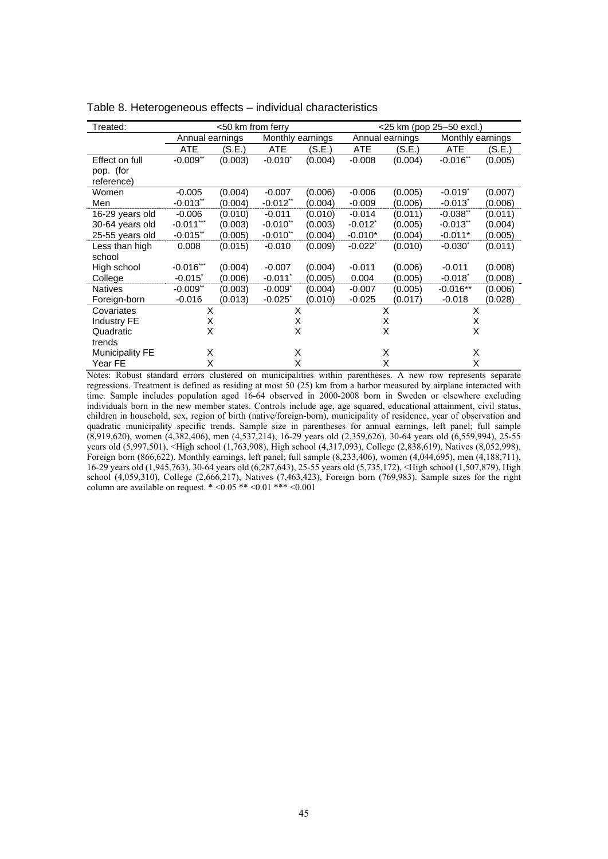| Treated:               | <50 km from ferry      |         |                        |         | <25 km (pop 25-50 excl.) |         |                       |         |  |
|------------------------|------------------------|---------|------------------------|---------|--------------------------|---------|-----------------------|---------|--|
|                        | Annual earnings        |         | Monthly<br>earnings    |         | Annual earnings          |         | Monthly earnings      |         |  |
|                        | <b>ATE</b>             | (S.E.)  | <b>ATE</b>             | (S.E.)  | <b>ATE</b>               | (S.E.)  | <b>ATE</b>            | (S.E.)  |  |
| Effect on full         | $-0.009$ <sup>**</sup> | (0.003) | $-0.010^*$             | (0.004) | $-0.008$                 | (0.004) | $-0.016$ **           | (0.005) |  |
| pop. (for              |                        |         |                        |         |                          |         |                       |         |  |
| reference)             |                        |         |                        |         |                          |         |                       |         |  |
| Women                  | $-0.005$               | (0.004) | $-0.007$               | (0.006) | $-0.006$                 | (0.005) | $-0.019$ <sup>*</sup> | (0.007) |  |
| Men                    | $-0.013$ <sup>**</sup> | (0.004) | $-0.012$ **            | (0.004) | $-0.009$                 | (0.006) | $-0.013$ <sup>*</sup> | (0.006) |  |
| 16-29 years old        | $-0.006$               | (0.010) | $-0.011$               | (0.010) | $-0.014$                 | (0.011) | $-0.038$ **           | (0.011) |  |
| 30-64 years old        | $-0.011***$            | (0.003) | $-0.010$ **            | (0.003) | $-0.012$ <sup>*</sup>    | (0.005) | $-0.013$ **           | (0.004) |  |
| 25-55 years old        | $-0.015$ <sup>**</sup> | (0.005) | $-0.010$ <sup>**</sup> | (0.004) | $-0.010*$                | (0.004) | $-0.011*$             | (0.005) |  |
| Less than high         | 0.008                  | (0.015) | $-0.010$               | (0.009) | $-0.022$ <sup>*</sup>    | (0.010) | $-0.030^*$            | (0.011) |  |
| school                 |                        |         |                        |         |                          |         |                       |         |  |
| High school            | $-0.016***$            | (0.004) | $-0.007$               | (0.004) | $-0.011$                 | (0.006) | $-0.011$              | (0.008) |  |
| College                | $-0.015$               | (0.006) | $-0.011$ <sup>*</sup>  | (0.005) | 0.004                    | (0.005) | $-0.018$ <sup>*</sup> | (0.008) |  |
| <b>Natives</b>         | $-0.009$ **            | (0.003) | $-0.009$ <sup>*</sup>  | (0.004) | $-0.007$                 | (0.005) | $-0.016**$            | (0.006) |  |
| Foreign-born           | $-0.016$               | (0.013) | $-0.025$ <sup>*</sup>  | (0.010) | $-0.025$                 | (0.017) | $-0.018$              | (0.028) |  |
| Covariates             | X                      |         | X                      |         | X                        |         | X                     |         |  |
| <b>Industry FE</b>     | X                      |         | X                      |         | X                        |         | X                     |         |  |
| Quadratic              | X                      |         |                        | X       |                          | X       |                       | X       |  |
| trends                 |                        |         |                        |         |                          |         |                       |         |  |
| <b>Municipality FE</b> | X                      |         | X                      |         |                          | X       | X                     |         |  |
| Year FE                | x                      |         | X                      |         | X                        |         | X                     |         |  |

Table 8. Heterogeneous effects – individual characteristics

Notes: Robust standard errors clustered on municipalities within parentheses. A new row represents separate regressions. Treatment is defined as residing at most 50 (25) km from a harbor measured by airplane interacted with time. Sample includes population aged 16-64 observed in 2000-2008 born in Sweden or elsewhere excluding individuals born in the new member states. Controls include age, age squared, educational attainment, civil status, children in household, sex, region of birth (native/foreign-born), municipality of residence, year of observation and quadratic municipality specific trends. Sample size in parentheses for annual earnings, left panel; full sample (8,919,620), women (4,382,406), men (4,537,214), 16-29 years old (2,359,626), 30-64 years old (6,559,994), 25-55 years old (5,997,501), <High school (1,763,908), High school (4,317,093), College (2,838,619), Natives (8,052,998), Foreign born (866,622). Monthly earnings, left panel; full sample (8,233,406), women (4,044,695), men (4,188,711), 16-29 years old (1,945,763), 30-64 years old (6,287,643), 25-55 years old (5,735,172), <High school (1,507,879), High school (4,059,310), College (2,666,217), Natives (7,463,423), Foreign born (769,983). Sample sizes for the right column are available on request.  $* <0.05 ** <0.01 ** <0.001$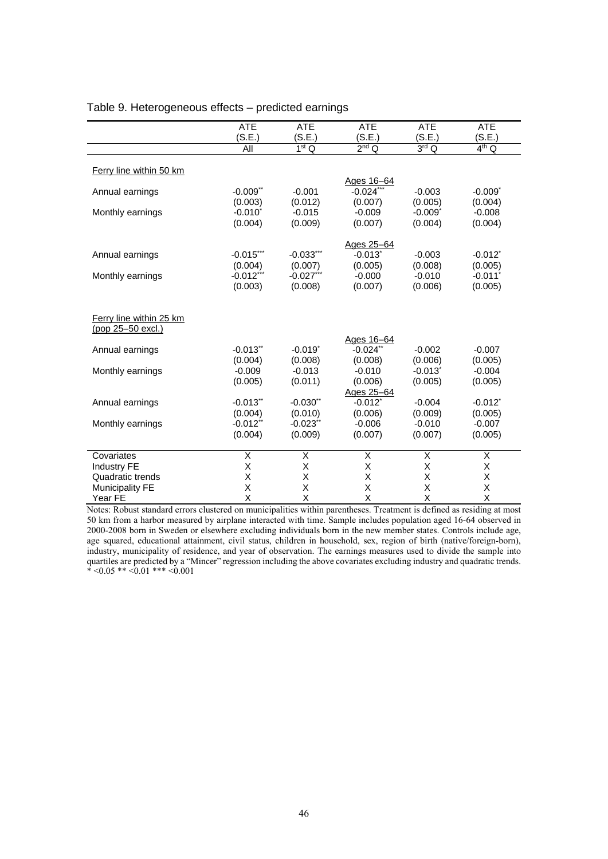|                         | <b>ATE</b>             | <b>ATE</b>                   | <b>ATE</b>             | <b>ATE</b>            | <b>ATE</b>            |
|-------------------------|------------------------|------------------------------|------------------------|-----------------------|-----------------------|
|                         | (S.E.)                 | (S.E.)                       | (S.E.)                 | (S.E.)                | (S.E.)                |
|                         | All                    | $\overline{1^{\text{st}} Q}$ | $2nd$ Q                | $3rd$ Q               | $4th$ Q               |
|                         |                        |                              |                        |                       |                       |
| Ferry line within 50 km |                        |                              |                        |                       |                       |
|                         |                        |                              | Ages 16-64             |                       |                       |
| Annual earnings         | $-0.009$ <sup>**</sup> | $-0.001$                     | $-0.024$ **            | $-0.003$              | $-0.009$ <sup>*</sup> |
|                         | (0.003)                | (0.012)                      | (0.007)                | (0.005)               | (0.004)               |
| Monthly earnings        | $-0.010$ <sup>*</sup>  | $-0.015$                     | $-0.009$               | $-0.009$ <sup>*</sup> | $-0.008$              |
|                         | (0.004)                | (0.009)                      | (0.007)                | (0.004)               | (0.004)               |
|                         |                        |                              |                        |                       |                       |
|                         |                        |                              | Ages 25-64             |                       |                       |
| Annual earnings         | $-0.015$ ***           | $-0.033***$                  | $-0.013$ <sup>*</sup>  | $-0.003$              | $-0.012$ <sup>*</sup> |
|                         |                        |                              | (0.005)                | (0.008)               | (0.005)               |
|                         | (0.004)                | (0.007)                      |                        |                       |                       |
| Monthly earnings        | $-0.012$ ***           | $-0.027***$                  | $-0.000$               | $-0.010$              | $-0.011$ <sup>*</sup> |
|                         | (0.003)                | (0.008)                      | (0.007)                | (0.006)               | (0.005)               |
|                         |                        |                              |                        |                       |                       |
|                         |                        |                              |                        |                       |                       |
| Ferry line within 25 km |                        |                              |                        |                       |                       |
| (pop 25-50 excl.)       |                        |                              |                        |                       |                       |
|                         |                        |                              | Ages 16-64             |                       |                       |
| Annual earnings         | $-0.013$ <sup>**</sup> | $-0.019$ <sup>*</sup>        | $-0.024$ <sup>**</sup> | $-0.002$              | $-0.007$              |
|                         | (0.004)                | (0.008)                      | (0.008)                | (0.006)               | (0.005)               |
| Monthly earnings        | $-0.009$               | $-0.013$                     | $-0.010$               | $-0.013$ <sup>*</sup> | $-0.004$              |
|                         | (0.005)                | (0.011)                      | (0.006)                | (0.005)               | (0.005)               |
|                         |                        |                              | Ages 25-64             |                       |                       |
| Annual earnings         | $-0.013$ **            | $-0.030**$                   | $-0.012$ <sup>*</sup>  | $-0.004$              | $-0.012$ <sup>*</sup> |
|                         | (0.004)                | (0.010)                      | (0.006)                | (0.009)               | (0.005)               |
| Monthly earnings        | $-0.012$ <sup>**</sup> | $-0.023$ <sup>**</sup>       | $-0.006$               | $-0.010$              | $-0.007$              |
|                         | (0.004)                | (0.009)                      | (0.007)                | (0.007)               | (0.005)               |
|                         |                        |                              |                        |                       |                       |
| Covariates              | Χ                      | $\overline{\mathsf{x}}$      | Χ                      | X                     | $\overline{X}$        |
| <b>Industry FE</b>      | Χ                      | X                            | Χ                      | X                     | X                     |
| Quadratic trends        | X                      | X                            | X                      | X                     | X                     |
| <b>Municipality FE</b>  | X                      | X                            | X                      | X                     | X                     |
| Year FE                 | X                      | X                            | X                      | X                     | X                     |

#### Table 9. Heterogeneous effects – predicted earnings

Notes: Robust standard errors clustered on municipalities within parentheses. Treatment is defined as residing at most 50 km from a harbor measured by airplane interacted with time. Sample includes population aged 16-64 observed in 2000-2008 born in Sweden or elsewhere excluding individuals born in the new member states. Controls include age, age squared, educational attainment, civil status, children in household, sex, region of birth (native/foreign-born), industry, municipality of residence, and year of observation. The earnings measures used to divide the sample into quartiles are predicted by a "Mincer" regression including the above covariates excluding industry and quadratic trends.  $* < 0.05$  \*\*  $< 0.01$  \*\*\*  $< 0.001$